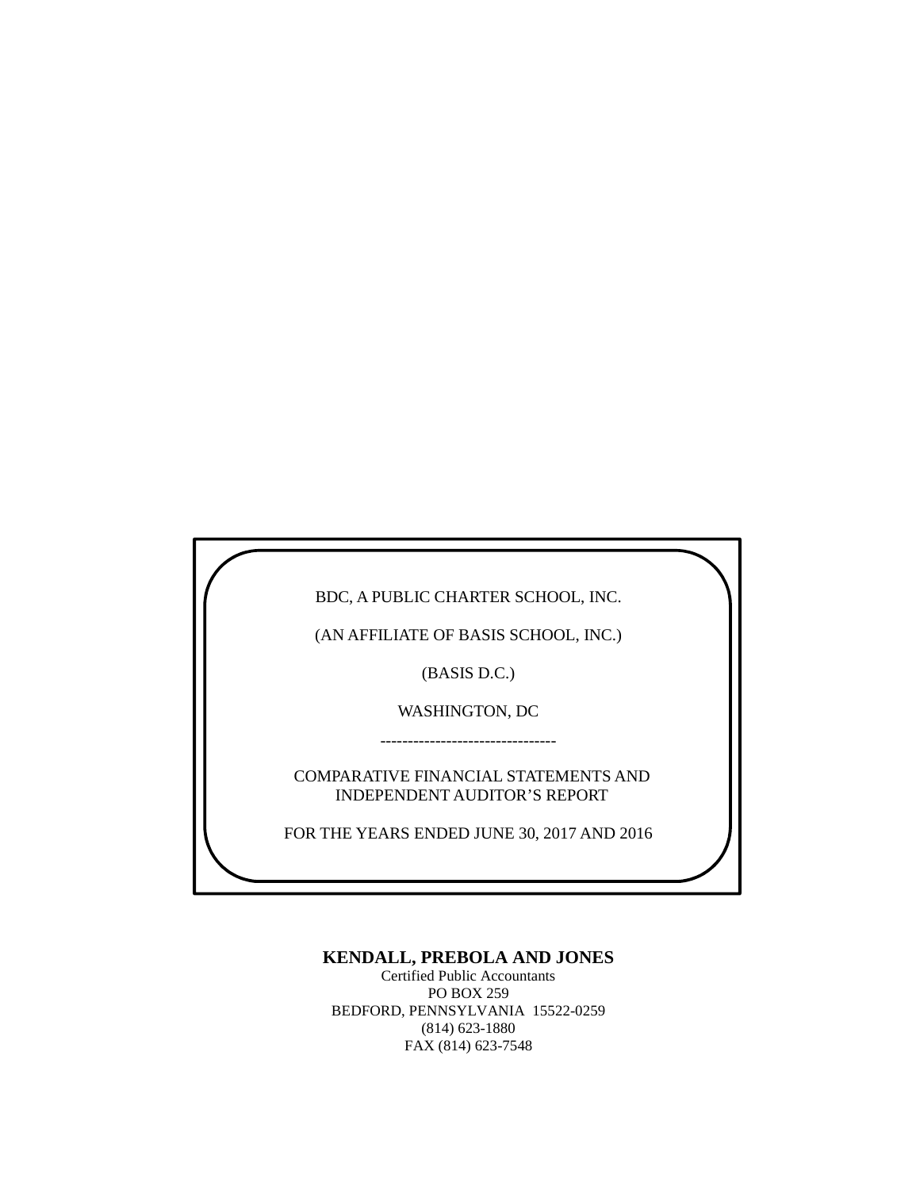BDC, A PUBLIC CHARTER SCHOOL, INC.

(AN AFFILIATE OF BASIS SCHOOL, INC.)

(BASIS D.C.)

WASHINGTON, DC --------------------------------

COMPARATIVE FINANCIAL STATEMENTS AND INDEPENDENT AUDITOR'S REPORT

FOR THE YEARS ENDED JUNE 30, 2017 AND 2016

#### **KENDALL, PREBOLA AND JONES**

Certified Public Accountants PO BOX 259 BEDFORD, PENNSYLVANIA 15522-0259 (814) 623-1880 FAX (814) 623-7548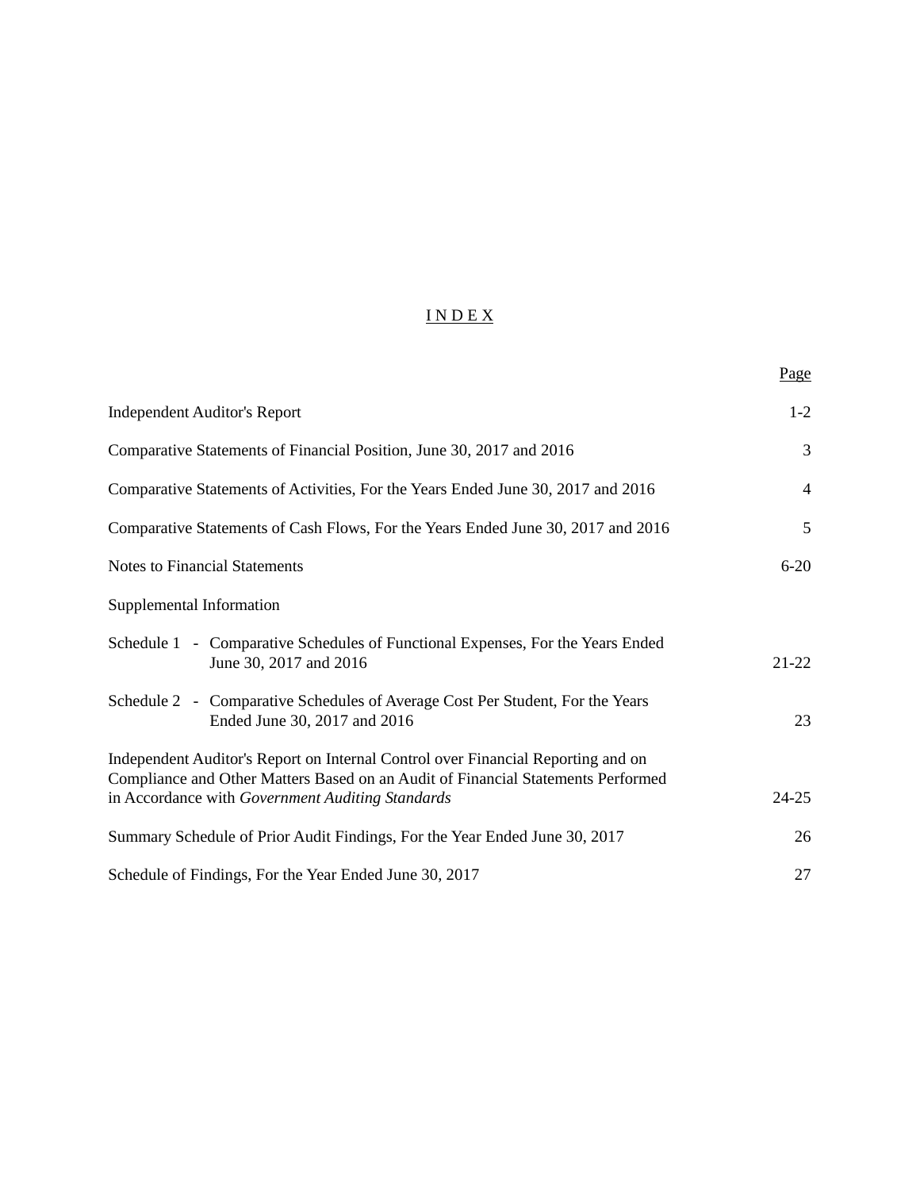# I N D E X

|                                                                                                                                                                                                                          | Page           |
|--------------------------------------------------------------------------------------------------------------------------------------------------------------------------------------------------------------------------|----------------|
| <b>Independent Auditor's Report</b>                                                                                                                                                                                      | $1-2$          |
| Comparative Statements of Financial Position, June 30, 2017 and 2016                                                                                                                                                     | 3              |
| Comparative Statements of Activities, For the Years Ended June 30, 2017 and 2016                                                                                                                                         | $\overline{4}$ |
| Comparative Statements of Cash Flows, For the Years Ended June 30, 2017 and 2016                                                                                                                                         | 5              |
| <b>Notes to Financial Statements</b>                                                                                                                                                                                     | $6 - 20$       |
| Supplemental Information                                                                                                                                                                                                 |                |
| Schedule 1 - Comparative Schedules of Functional Expenses, For the Years Ended<br>June 30, 2017 and 2016                                                                                                                 | $21 - 22$      |
| Schedule 2 - Comparative Schedules of Average Cost Per Student, For the Years<br>Ended June 30, 2017 and 2016                                                                                                            | 23             |
| Independent Auditor's Report on Internal Control over Financial Reporting and on<br>Compliance and Other Matters Based on an Audit of Financial Statements Performed<br>in Accordance with Government Auditing Standards | $24 - 25$      |
| Summary Schedule of Prior Audit Findings, For the Year Ended June 30, 2017                                                                                                                                               | 26             |
| Schedule of Findings, For the Year Ended June 30, 2017                                                                                                                                                                   | 27             |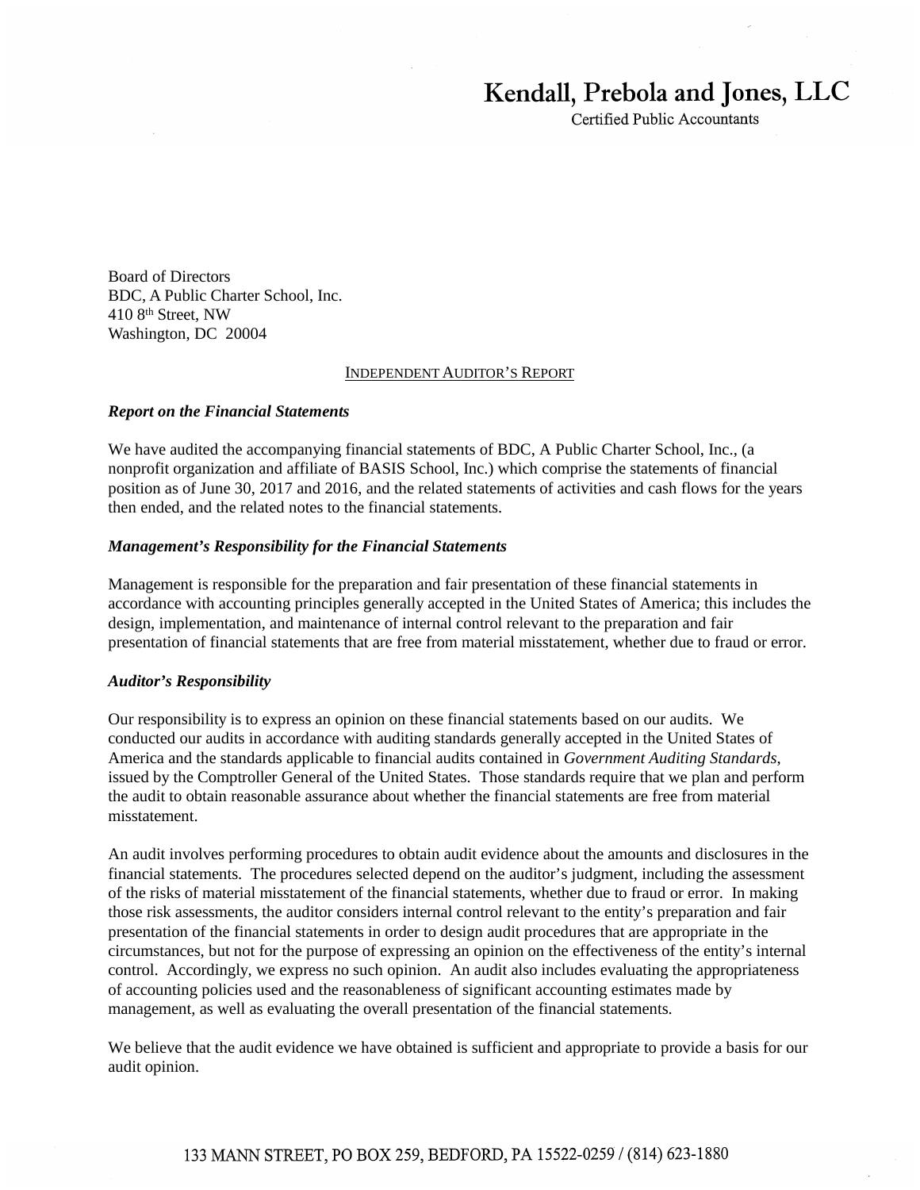# Kendall, Prebola and Jones, LLC

Certified Public Accountants

Board of Directors BDC, A Public Charter School, Inc. 410 8th Street, NW Washington, DC 20004

#### INDEPENDENT AUDITOR'S REPORT

#### *Report on the Financial Statements*

We have audited the accompanying financial statements of BDC, A Public Charter School, Inc., (a nonprofit organization and affiliate of BASIS School, Inc.) which comprise the statements of financial position as of June 30, 2017 and 2016, and the related statements of activities and cash flows for the years then ended, and the related notes to the financial statements.

#### *Management's Responsibility for the Financial Statements*

Management is responsible for the preparation and fair presentation of these financial statements in accordance with accounting principles generally accepted in the United States of America; this includes the design, implementation, and maintenance of internal control relevant to the preparation and fair presentation of financial statements that are free from material misstatement, whether due to fraud or error.

#### *Auditor's Responsibility*

Our responsibility is to express an opinion on these financial statements based on our audits. We conducted our audits in accordance with auditing standards generally accepted in the United States of America and the standards applicable to financial audits contained in *Government Auditing Standards*, issued by the Comptroller General of the United States. Those standards require that we plan and perform the audit to obtain reasonable assurance about whether the financial statements are free from material misstatement.

An audit involves performing procedures to obtain audit evidence about the amounts and disclosures in the financial statements. The procedures selected depend on the auditor's judgment, including the assessment of the risks of material misstatement of the financial statements, whether due to fraud or error. In making those risk assessments, the auditor considers internal control relevant to the entity's preparation and fair presentation of the financial statements in order to design audit procedures that are appropriate in the circumstances, but not for the purpose of expressing an opinion on the effectiveness of the entity's internal control. Accordingly, we express no such opinion. An audit also includes evaluating the appropriateness of accounting policies used and the reasonableness of significant accounting estimates made by management, as well as evaluating the overall presentation of the financial statements.

We believe that the audit evidence we have obtained is sufficient and appropriate to provide a basis for our audit opinion.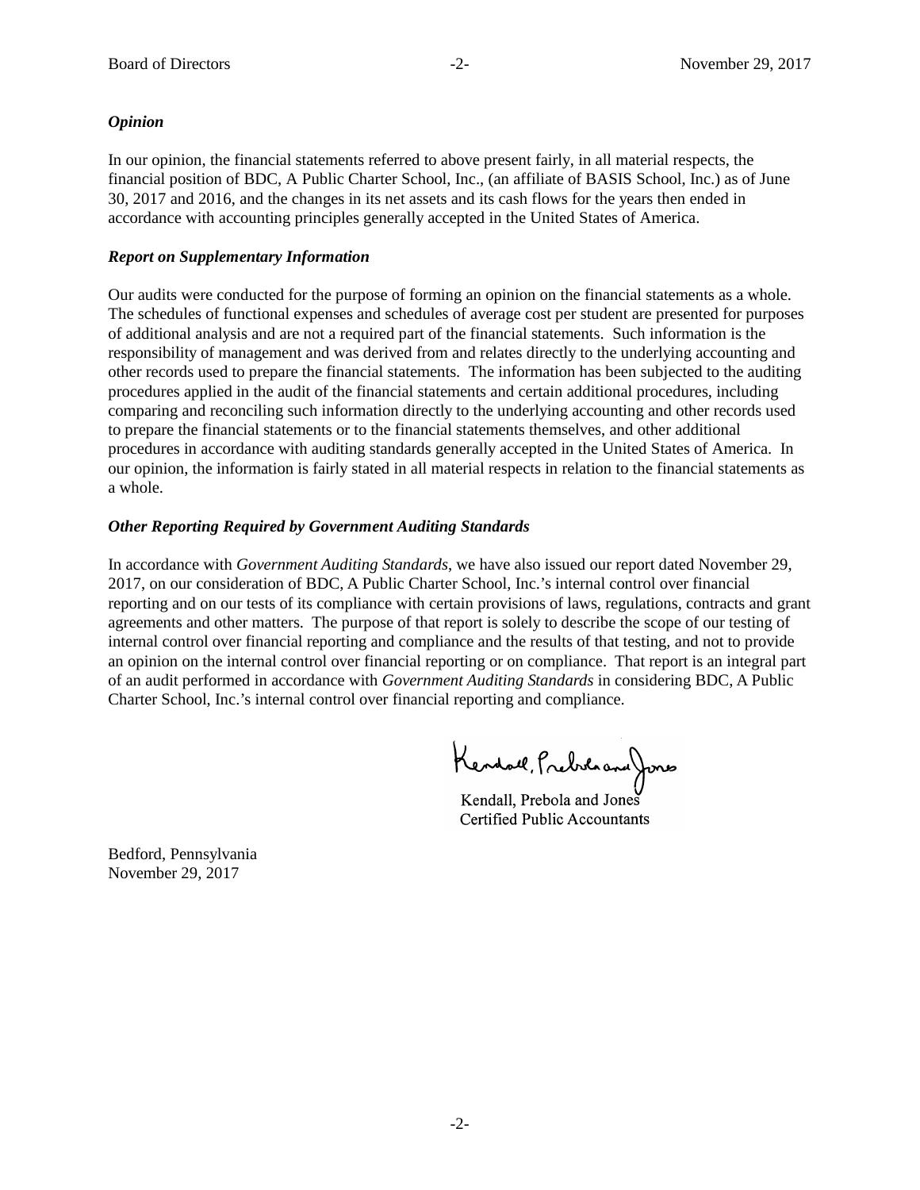#### *Opinion*  $\delta$  the Latin American  $\delta$  the Latin American  $\delta$  $\alpha$ <sub>2016</sub> and 2015 and 2015 and its net assets and its net assets and its cash flows for the years then ended in  $\alpha$

In our opinion, the financial statements referred to above present fairly, in all material respects, the financial position of BDC, A Public Charter School, Inc., (an affiliate of BASIS School, Inc.) as of June 30, 2017 and 2016, and the changes in its net assets and its cash flows for the years then ended in accordance with accounting principles generally accepted in the United States of America.

#### **The supplementary Information**<br>The supplementary **Information Keport on supplementary information**

Our audits were conducted for the purpose of forming an opinion on the financial statements as a whole. The schedules of functional expenses and schedules of average cost per student are presented for purposes of additional analysis and are not a required part of the financial statements. Such information is the unit is the underlying and was derived from and was derived from and relationships and are not a required part of the responsibility of management and was derived from and relates directly to the underlying accounting and other records used to prepare the financial statements. The information has been subjected to the auditing procedures applied in the audit of the financial statements and certain additional procedures, including comparing and reconciling such information directly to the underlying accounting and other records used to prepare the financial statements or to the financial statements themselves, and other additional procedures in accordance with auditing standards generally accepted in the United States of America. In our opinion, the information is fairly stated in all material respects in relation to the financial statements as a whole. Budget Conducted for the purpose of forming an opinion on the milancial statements as a whole.

#### *Other Reporting Required by Government Auditing Standards Other Reporting Required by Government Auditing Standards*

In accordance with *Government Auditing Standards*, we have also issued our report dated November 29, 2017, on our consideration of BDC, A Public Charter School, Inc.'s internal control over financial reporting and on our tests of its compliance with certain provisions of laws, regulations, contracts and grant agreements and other matters. The purpose of that report is solely to describe the scope of our testing of internal control over financial reporting and compliance and the results of that testing, and not to provide an opinion on the internal control over financial reporting or on compliance. That report is an integral part of an audit performed in accordance with Government Auditing Standards in considering BDC, A Public Charter School, Inc.'s internal control over financial reporting and compliance. In accordance with *Government Auditing Standards,* we have also issued our report dated August 14, In accordance with Government Auditing Standards, we have also issued our report dated November 29,

Kendall, Prebila and Jones

Kendall, Prebola and Jones Kendall, Prebola and Jones Certified Public Accountants Certified Public Accountants

Bedford, Pennsylvania Bedford, Pennsylvania November 29, 2017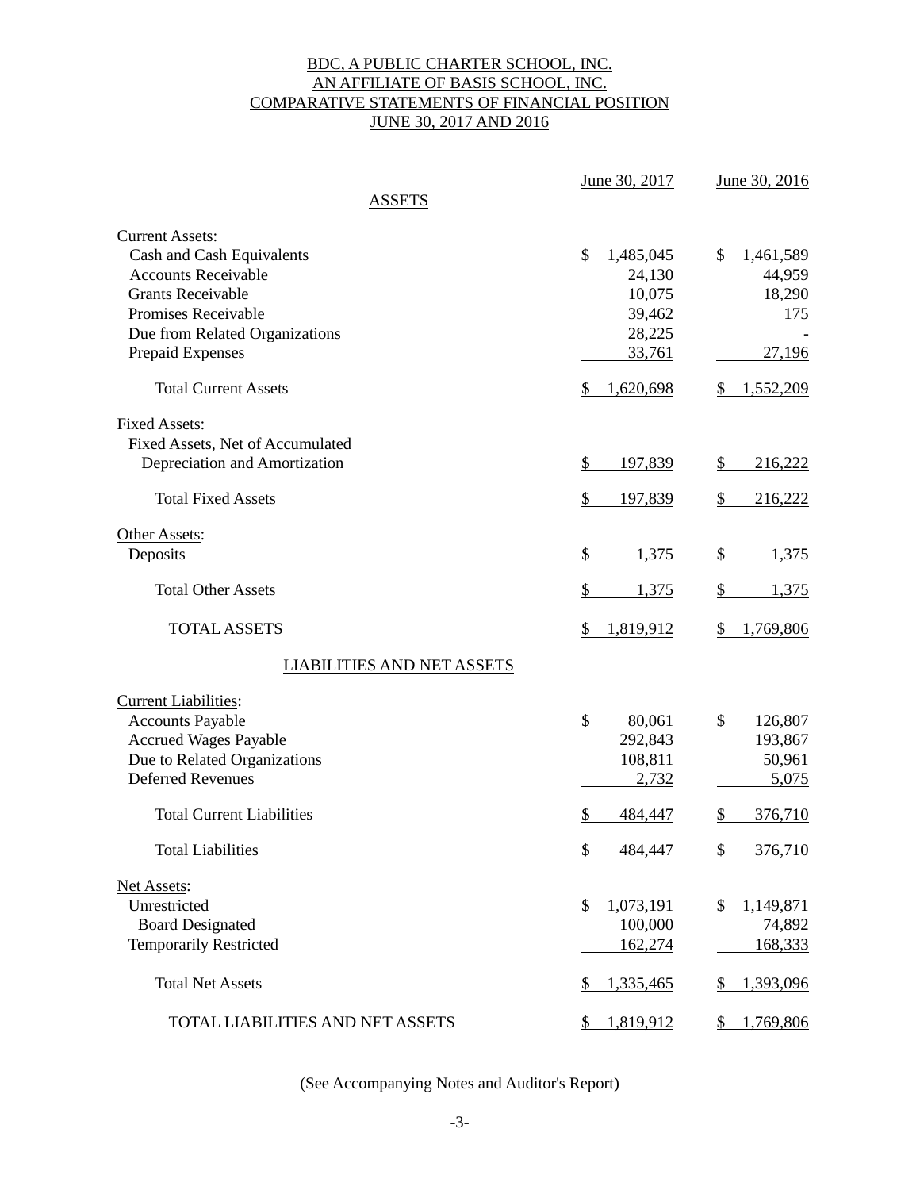## BDC, A PUBLIC CHARTER SCHOOL, INC. AN AFFILIATE OF BASIS SCHOOL, INC. COMPARATIVE STATEMENTS OF FINANCIAL POSITION JUNE 30, 2017 AND 2016

|                                   | June 30, 2017             | June 30, 2016            |
|-----------------------------------|---------------------------|--------------------------|
| ASSETS                            |                           |                          |
| <b>Current Assets:</b>            |                           |                          |
| Cash and Cash Equivalents         | \$<br>1,485,045           | \$<br>1,461,589          |
| <b>Accounts Receivable</b>        | 24,130                    | 44,959                   |
| <b>Grants Receivable</b>          | 10,075                    | 18,290                   |
| Promises Receivable               | 39,462                    | 175                      |
| Due from Related Organizations    | 28,225                    |                          |
| Prepaid Expenses                  | 33,761                    | 27,196                   |
| <b>Total Current Assets</b>       | 1,620,698<br>\$           | 1,552,209<br>\$          |
| <b>Fixed Assets:</b>              |                           |                          |
| Fixed Assets, Net of Accumulated  |                           |                          |
| Depreciation and Amortization     | $\frac{1}{2}$<br>197,839  | \$<br>216,222            |
| <b>Total Fixed Assets</b>         | \$<br>197,839             | \$<br>216,222            |
| Other Assets:                     |                           |                          |
| Deposits                          | \$<br>1,375               | \$<br>1,375              |
| <b>Total Other Assets</b>         | \$<br>1,375               | \$<br>1,375              |
| <b>TOTAL ASSETS</b>               | \$<br>1,819,912           | 1,769,806<br>S           |
| <b>LIABILITIES AND NET ASSETS</b> |                           |                          |
| <b>Current Liabilities:</b>       |                           |                          |
| <b>Accounts Payable</b>           | \$<br>80,061              | \$<br>126,807            |
| <b>Accrued Wages Payable</b>      | 292,843                   | 193,867                  |
| Due to Related Organizations      | 108,811                   | 50,961                   |
| <b>Deferred Revenues</b>          | 2,732                     | 5,075                    |
| <b>Total Current Liabilities</b>  | \$<br>484,447             | 376,710<br>\$            |
| <b>Total Liabilities</b>          | 484,447<br>$\frac{1}{2}$  | $\frac{1}{2}$<br>376,710 |
| Net Assets:                       |                           |                          |
| Unrestricted                      | \$<br>1,073,191           | \$<br>1,149,871          |
| <b>Board Designated</b>           | 100,000                   | 74,892                   |
| <b>Temporarily Restricted</b>     | 162,274                   | 168,333                  |
| <b>Total Net Assets</b>           | 1,335,465<br>\$           | 1,393,096<br>\$          |
| TOTAL LIABILITIES AND NET ASSETS  | 1,819,912<br>$\mathbb{S}$ | 1,769,806<br>\$          |

(See Accompanying Notes and Auditor's Report)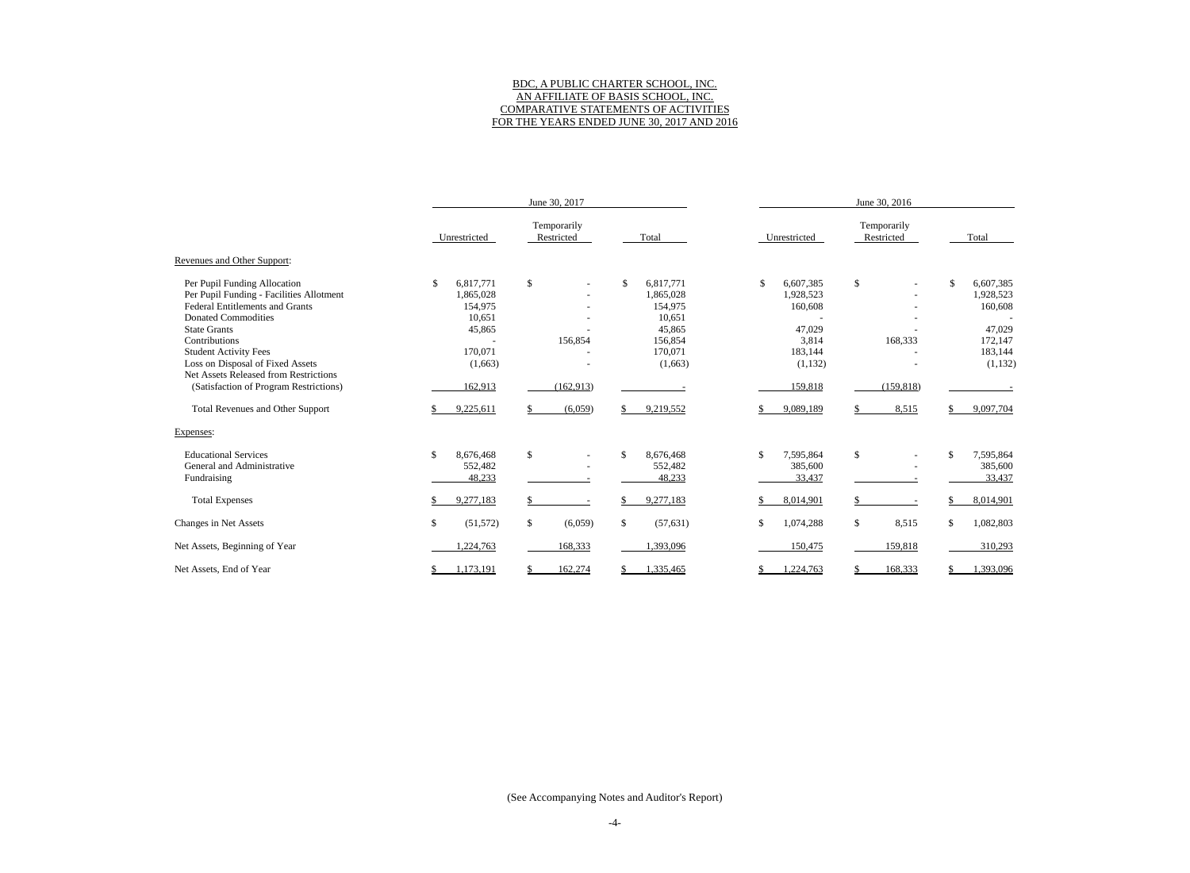#### BDC, A PUBLIC CHARTER SCHOOL, INC. AN AFFILIATE OF BASIS SCHOOL, INC. COMPARATIVE STATEMENTS OF ACTIVITIES FOR THE YEARS ENDED JUNE 30, 2017 AND 2016

|                                                                                                                                                   | June 30, 2017                                     |                                |                                                   | June 30, 2016                           |                           |                                                 |  |  |
|---------------------------------------------------------------------------------------------------------------------------------------------------|---------------------------------------------------|--------------------------------|---------------------------------------------------|-----------------------------------------|---------------------------|-------------------------------------------------|--|--|
|                                                                                                                                                   | Unrestricted                                      | Temporarily<br>Restricted      | Total                                             | Unrestricted                            | Temporarily<br>Restricted | Total                                           |  |  |
| Revenues and Other Support:                                                                                                                       |                                                   |                                |                                                   |                                         |                           |                                                 |  |  |
| Per Pupil Funding Allocation<br>Per Pupil Funding - Facilities Allotment<br><b>Federal Entitlements and Grants</b><br><b>Donated Commodities</b>  | 6,817,771<br>\$<br>1,865,028<br>154,975<br>10,651 | \$                             | \$<br>6,817,771<br>1,865,028<br>154,975<br>10,651 | \$<br>6,607,385<br>1,928,523<br>160,608 | \$                        | \$<br>6,607,385<br>1,928,523<br>160,608         |  |  |
| <b>State Grants</b><br>Contributions<br><b>Student Activity Fees</b><br>Loss on Disposal of Fixed Assets<br>Net Assets Released from Restrictions | 45,865<br>170,071<br>(1,663)                      | 156,854                        | 45,865<br>156,854<br>170,071<br>(1,663)           | 47,029<br>3,814<br>183,144<br>(1,132)   | 168,333                   | 47,029<br>172,147<br>183,144<br>(1,132)         |  |  |
| (Satisfaction of Program Restrictions)                                                                                                            | 162,913                                           | (162, 913)                     |                                                   | 159,818                                 | (159, 818)                |                                                 |  |  |
| <b>Total Revenues and Other Support</b>                                                                                                           | 9,225,611                                         | (6,059)                        | 9,219,552                                         | 9,089,189                               | 8,515                     | 9,097,704                                       |  |  |
| Expenses:                                                                                                                                         |                                                   |                                |                                                   |                                         |                           |                                                 |  |  |
| <b>Educational Services</b><br>General and Administrative<br>Fundraising                                                                          | \$<br>8,676,468<br>552,482<br>48,233              | \$<br>$\overline{\phantom{a}}$ | 8,676,468<br>\$<br>552,482<br>48,233              | \$<br>7,595,864<br>385,600<br>33,437    | \$                        | 7,595,864<br><sup>\$</sup><br>385,600<br>33,437 |  |  |
| <b>Total Expenses</b>                                                                                                                             | 9,277,183                                         |                                | 9,277,183                                         | 8,014,901                               |                           | 8,014,901                                       |  |  |
| Changes in Net Assets                                                                                                                             | \$<br>(51, 572)                                   | \$<br>(6,059)                  | \$<br>(57, 631)                                   | 1,074,288<br>\$                         | \$<br>8,515               | \$<br>1,082,803                                 |  |  |
| Net Assets, Beginning of Year                                                                                                                     | ,224,763                                          | 168,333                        | 1,393,096                                         | 150,475                                 | 159,818                   | 310,293                                         |  |  |
| Net Assets, End of Year                                                                                                                           | ,173,191                                          | 162,274                        | 1,335,465                                         | ,224,763                                | 168,333                   | 1,393,096                                       |  |  |

(See Accompanying Notes and Auditor's Report)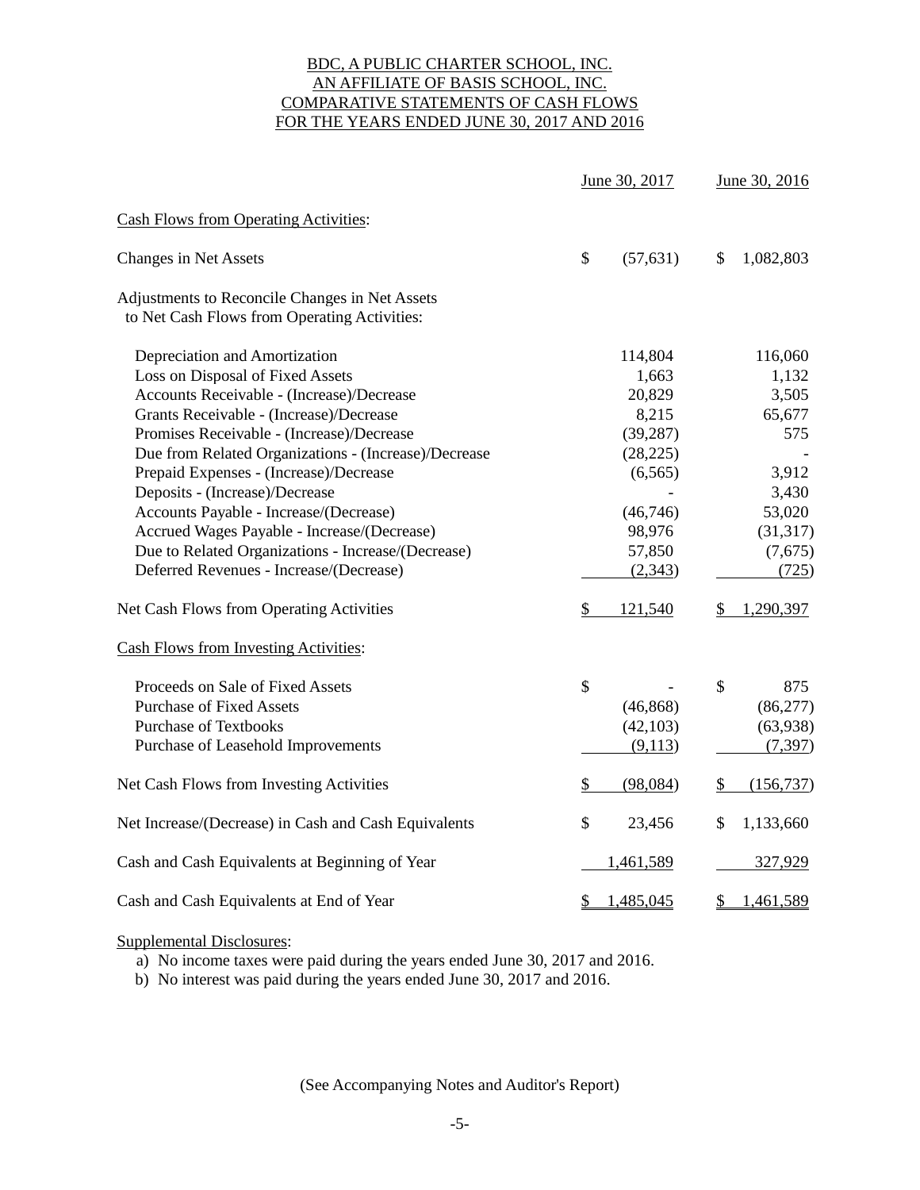#### BDC, A PUBLIC CHARTER SCHOOL, INC. AN AFFILIATE OF BASIS SCHOOL, INC. COMPARATIVE STATEMENTS OF CASH FLOWS FOR THE YEARS ENDED JUNE 30, 2017 AND 2016

|                                                                                                |    | June 30, 2017 |              | June 30, 2016 |  |
|------------------------------------------------------------------------------------------------|----|---------------|--------------|---------------|--|
| <b>Cash Flows from Operating Activities:</b>                                                   |    |               |              |               |  |
| <b>Changes in Net Assets</b>                                                                   | \$ | (57, 631)     | $\mathbb{S}$ | 1,082,803     |  |
| Adjustments to Reconcile Changes in Net Assets<br>to Net Cash Flows from Operating Activities: |    |               |              |               |  |
| Depreciation and Amortization                                                                  |    | 114,804       |              | 116,060       |  |
| Loss on Disposal of Fixed Assets                                                               |    | 1,663         |              | 1,132         |  |
| Accounts Receivable - (Increase)/Decrease                                                      |    | 20,829        |              | 3,505         |  |
| Grants Receivable - (Increase)/Decrease                                                        |    | 8,215         |              | 65,677        |  |
| Promises Receivable - (Increase)/Decrease                                                      |    | (39, 287)     |              | 575           |  |
| Due from Related Organizations - (Increase)/Decrease                                           |    | (28, 225)     |              |               |  |
| Prepaid Expenses - (Increase)/Decrease                                                         |    | (6,565)       |              | 3,912         |  |
| Deposits - (Increase)/Decrease                                                                 |    |               |              | 3,430         |  |
| Accounts Payable - Increase/(Decrease)                                                         |    | (46, 746)     |              | 53,020        |  |
| Accrued Wages Payable - Increase/(Decrease)                                                    |    | 98,976        |              | (31, 317)     |  |
| Due to Related Organizations - Increase/(Decrease)                                             |    | 57,850        |              | (7,675)       |  |
| Deferred Revenues - Increase/(Decrease)                                                        |    | (2, 343)      |              | (725)         |  |
| Net Cash Flows from Operating Activities                                                       | \$ | 121,540       | \$           | 1,290,397     |  |
| <b>Cash Flows from Investing Activities:</b>                                                   |    |               |              |               |  |
| Proceeds on Sale of Fixed Assets                                                               | \$ |               | \$           | 875           |  |
| <b>Purchase of Fixed Assets</b>                                                                |    | (46, 868)     |              | (86,277)      |  |
| <b>Purchase of Textbooks</b>                                                                   |    | (42, 103)     |              | (63,938)      |  |
| Purchase of Leasehold Improvements                                                             |    | (9,113)       |              | (7, 397)      |  |
| Net Cash Flows from Investing Activities                                                       | \$ | (98,084)      | \$           | (156, 737)    |  |
| Net Increase/(Decrease) in Cash and Cash Equivalents                                           | \$ | 23,456        | \$           | 1,133,660     |  |
| Cash and Cash Equivalents at Beginning of Year                                                 |    | 1,461,589     |              | 327,929       |  |
| Cash and Cash Equivalents at End of Year                                                       |    | 1,485,045     | \$           | 1,461,589     |  |

#### Supplemental Disclosures:

a) No income taxes were paid during the years ended June 30, 2017 and 2016.

b) No interest was paid during the years ended June 30, 2017 and 2016.

(See Accompanying Notes and Auditor's Report)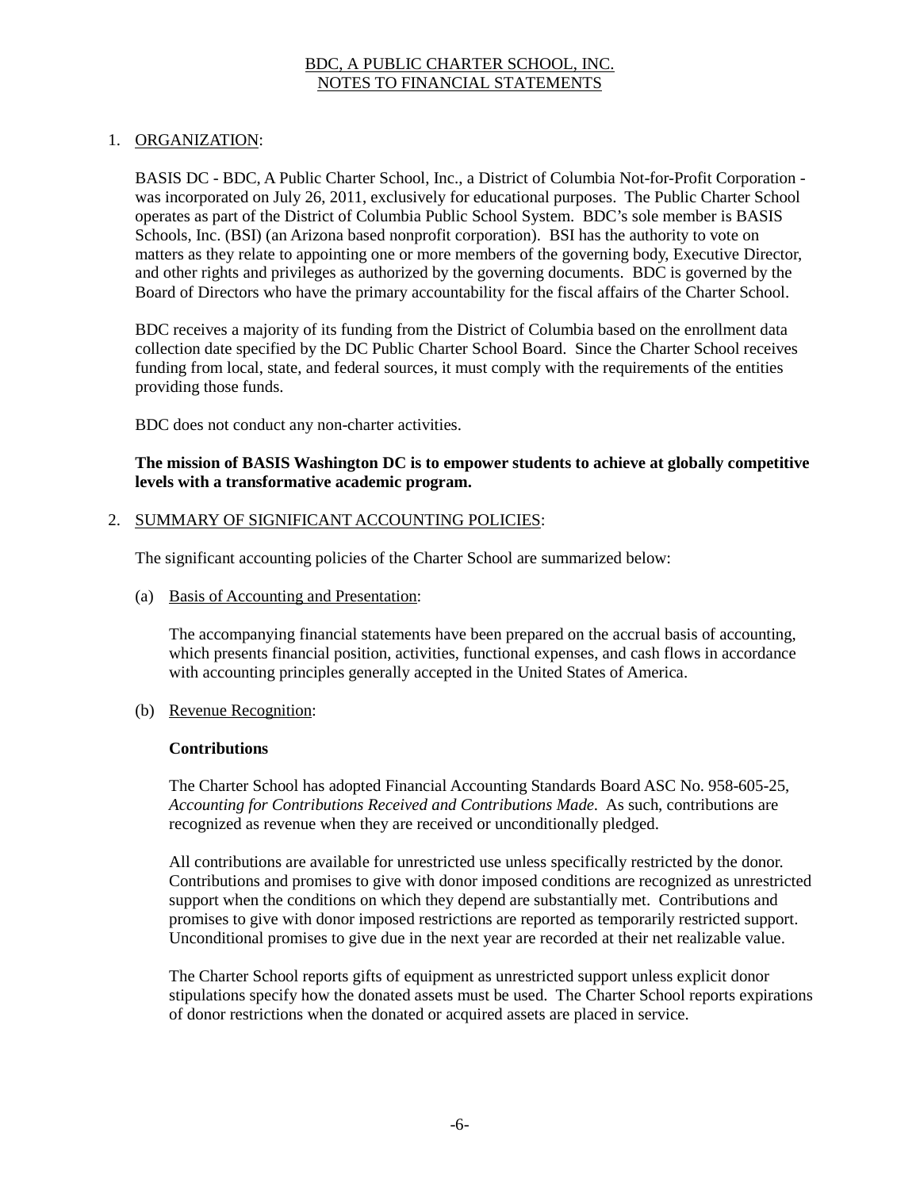## 1. ORGANIZATION:

BASIS DC - BDC, A Public Charter School, Inc., a District of Columbia Not-for-Profit Corporation was incorporated on July 26, 2011, exclusively for educational purposes. The Public Charter School operates as part of the District of Columbia Public School System. BDC's sole member is BASIS Schools, Inc. (BSI) (an Arizona based nonprofit corporation). BSI has the authority to vote on matters as they relate to appointing one or more members of the governing body, Executive Director, and other rights and privileges as authorized by the governing documents. BDC is governed by the Board of Directors who have the primary accountability for the fiscal affairs of the Charter School.

BDC receives a majority of its funding from the District of Columbia based on the enrollment data collection date specified by the DC Public Charter School Board. Since the Charter School receives funding from local, state, and federal sources, it must comply with the requirements of the entities providing those funds.

BDC does not conduct any non-charter activities.

#### **The mission of BASIS Washington DC is to empower students to achieve at globally competitive levels with a transformative academic program.**

#### 2. SUMMARY OF SIGNIFICANT ACCOUNTING POLICIES:

The significant accounting policies of the Charter School are summarized below:

(a) Basis of Accounting and Presentation:

The accompanying financial statements have been prepared on the accrual basis of accounting, which presents financial position, activities, functional expenses, and cash flows in accordance with accounting principles generally accepted in the United States of America.

(b) Revenue Recognition:

#### **Contributions**

The Charter School has adopted Financial Accounting Standards Board ASC No. 958-605-25, *Accounting for Contributions Received and Contributions Made.* As such, contributions are recognized as revenue when they are received or unconditionally pledged.

All contributions are available for unrestricted use unless specifically restricted by the donor. Contributions and promises to give with donor imposed conditions are recognized as unrestricted support when the conditions on which they depend are substantially met. Contributions and promises to give with donor imposed restrictions are reported as temporarily restricted support. Unconditional promises to give due in the next year are recorded at their net realizable value.

The Charter School reports gifts of equipment as unrestricted support unless explicit donor stipulations specify how the donated assets must be used. The Charter School reports expirations of donor restrictions when the donated or acquired assets are placed in service.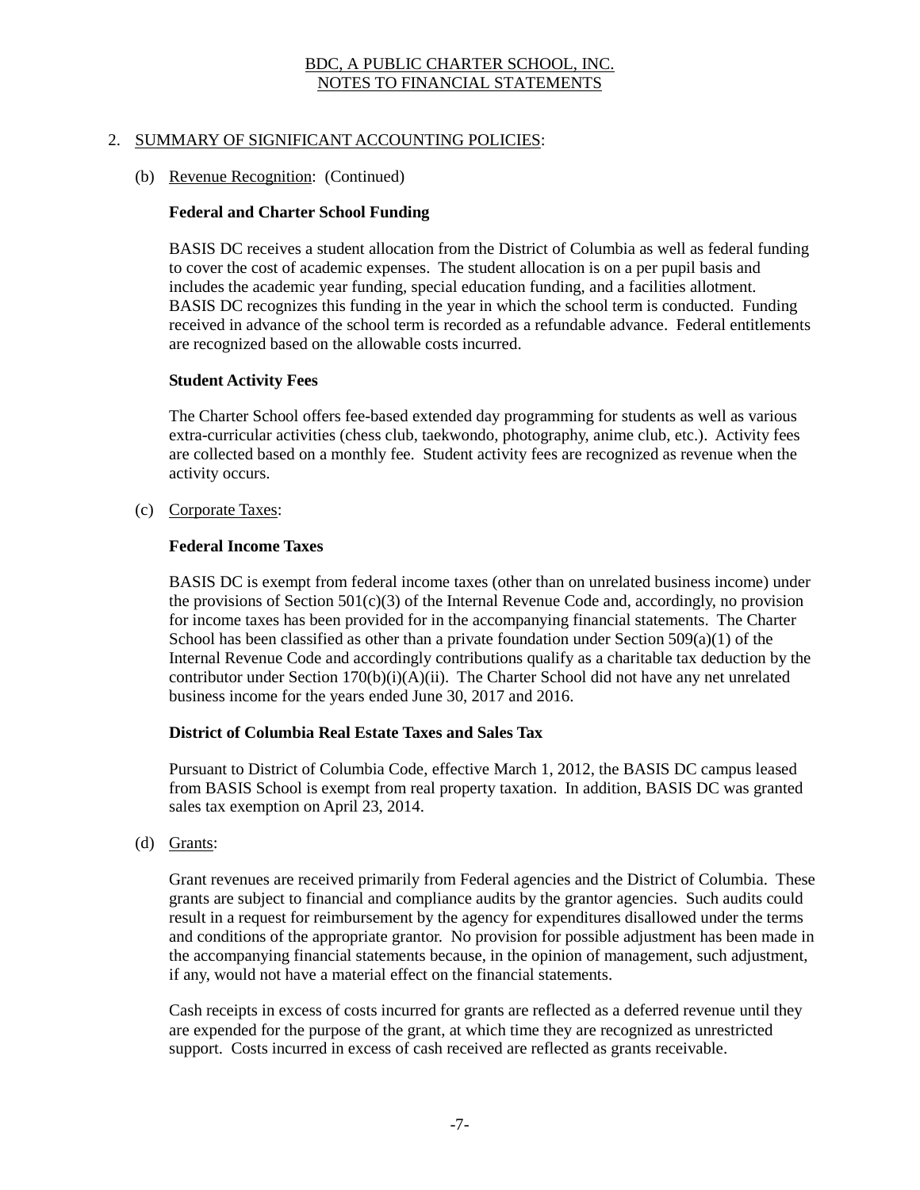## 2. SUMMARY OF SIGNIFICANT ACCOUNTING POLICIES:

#### (b) Revenue Recognition: (Continued)

#### **Federal and Charter School Funding**

BASIS DC receives a student allocation from the District of Columbia as well as federal funding to cover the cost of academic expenses. The student allocation is on a per pupil basis and includes the academic year funding, special education funding, and a facilities allotment. BASIS DC recognizes this funding in the year in which the school term is conducted. Funding received in advance of the school term is recorded as a refundable advance. Federal entitlements are recognized based on the allowable costs incurred.

#### **Student Activity Fees**

The Charter School offers fee-based extended day programming for students as well as various extra-curricular activities (chess club, taekwondo, photography, anime club, etc.). Activity fees are collected based on a monthly fee. Student activity fees are recognized as revenue when the activity occurs.

(c) Corporate Taxes:

#### **Federal Income Taxes**

BASIS DC is exempt from federal income taxes (other than on unrelated business income) under the provisions of Section  $501(c)(3)$  of the Internal Revenue Code and, accordingly, no provision for income taxes has been provided for in the accompanying financial statements. The Charter School has been classified as other than a private foundation under Section  $509(a)(1)$  of the Internal Revenue Code and accordingly contributions qualify as a charitable tax deduction by the contributor under Section  $170(b)(i)(A)(ii)$ . The Charter School did not have any net unrelated business income for the years ended June 30, 2017 and 2016.

#### **District of Columbia Real Estate Taxes and Sales Tax**

Pursuant to District of Columbia Code, effective March 1, 2012, the BASIS DC campus leased from BASIS School is exempt from real property taxation. In addition, BASIS DC was granted sales tax exemption on April 23, 2014.

(d) Grants:

Grant revenues are received primarily from Federal agencies and the District of Columbia. These grants are subject to financial and compliance audits by the grantor agencies. Such audits could result in a request for reimbursement by the agency for expenditures disallowed under the terms and conditions of the appropriate grantor. No provision for possible adjustment has been made in the accompanying financial statements because, in the opinion of management, such adjustment, if any, would not have a material effect on the financial statements.

Cash receipts in excess of costs incurred for grants are reflected as a deferred revenue until they are expended for the purpose of the grant, at which time they are recognized as unrestricted support. Costs incurred in excess of cash received are reflected as grants receivable.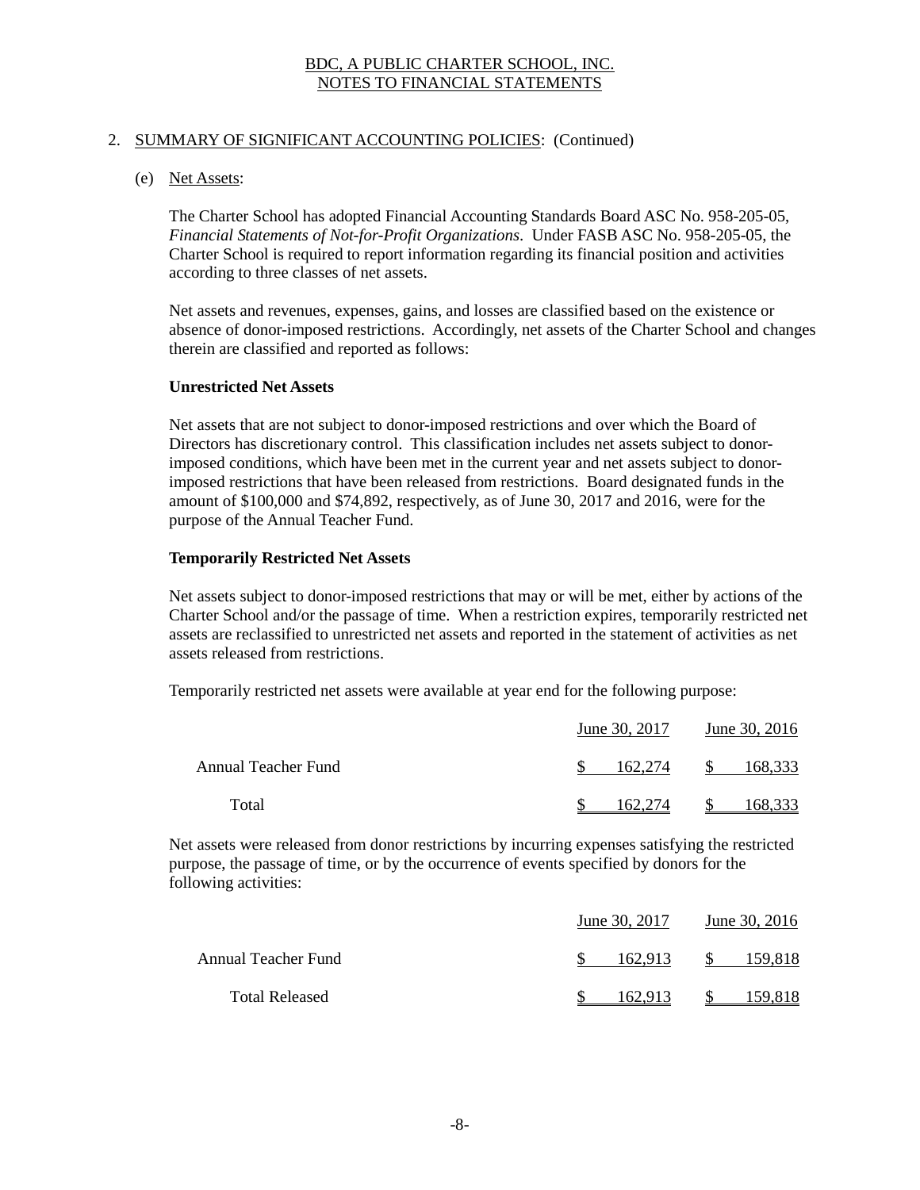## 2. SUMMARY OF SIGNIFICANT ACCOUNTING POLICIES: (Continued)

#### (e) Net Assets:

The Charter School has adopted Financial Accounting Standards Board ASC No. 958-205-05, *Financial Statements of Not-for-Profit Organizations*. Under FASB ASC No. 958-205-05, the Charter School is required to report information regarding its financial position and activities according to three classes of net assets.

Net assets and revenues, expenses, gains, and losses are classified based on the existence or absence of donor-imposed restrictions. Accordingly, net assets of the Charter School and changes therein are classified and reported as follows:

#### **Unrestricted Net Assets**

Net assets that are not subject to donor-imposed restrictions and over which the Board of Directors has discretionary control. This classification includes net assets subject to donorimposed conditions, which have been met in the current year and net assets subject to donorimposed restrictions that have been released from restrictions. Board designated funds in the amount of \$100,000 and \$74,892, respectively, as of June 30, 2017 and 2016, were for the purpose of the Annual Teacher Fund.

#### **Temporarily Restricted Net Assets**

Net assets subject to donor-imposed restrictions that may or will be met, either by actions of the Charter School and/or the passage of time. When a restriction expires, temporarily restricted net assets are reclassified to unrestricted net assets and reported in the statement of activities as net assets released from restrictions.

Temporarily restricted net assets were available at year end for the following purpose:

|                     | June 30, 2017 | June 30, 2016           |  |  |
|---------------------|---------------|-------------------------|--|--|
| Annual Teacher Fund | 162.274       | <sup>S</sup><br>168,333 |  |  |
| Total               | 62.274        | .68.333                 |  |  |

Net assets were released from donor restrictions by incurring expenses satisfying the restricted purpose, the passage of time, or by the occurrence of events specified by donors for the following activities:

|                       | June 30, 2017 | June 30, 2016 |  |  |
|-----------------------|---------------|---------------|--|--|
| Annual Teacher Fund   | 162.913       | S.<br>159.818 |  |  |
| <b>Total Released</b> | 162.913       | 159.818       |  |  |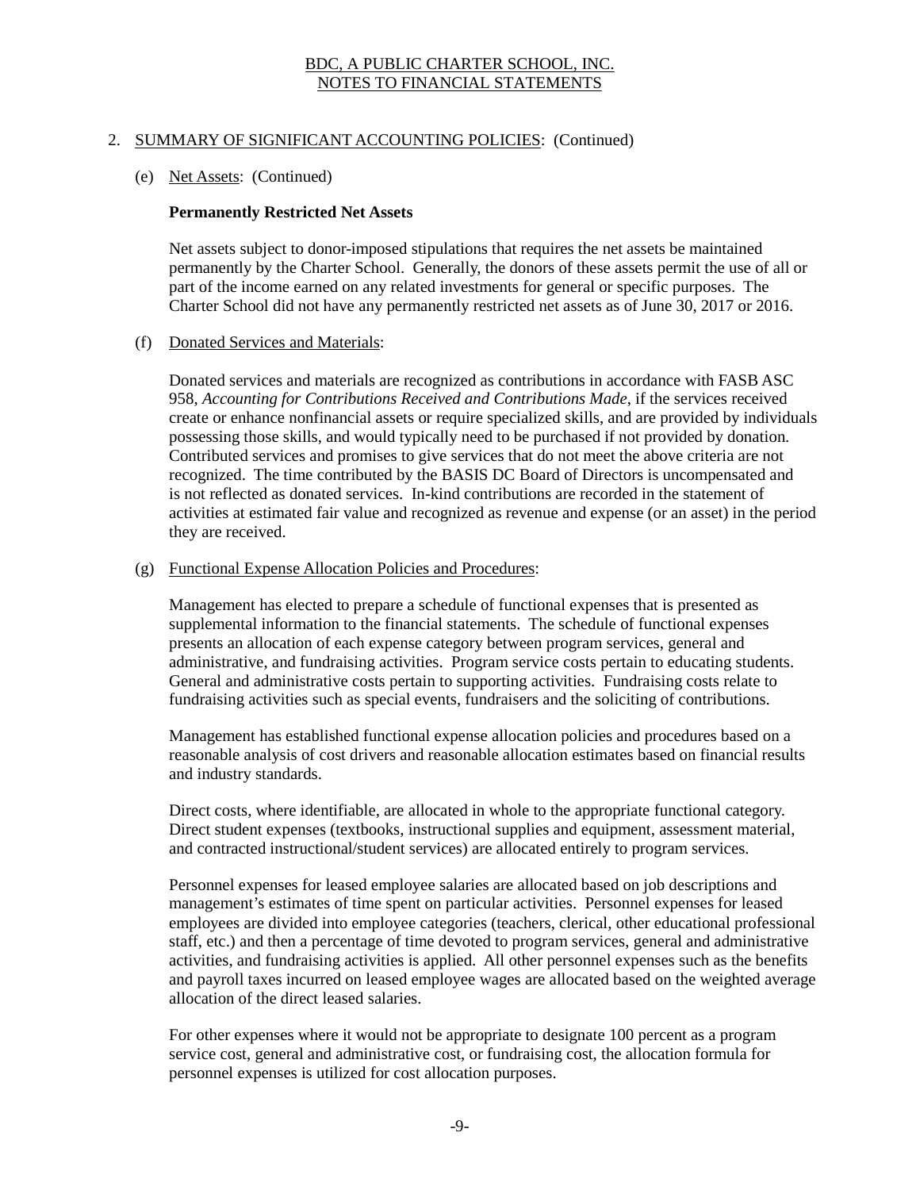## 2. SUMMARY OF SIGNIFICANT ACCOUNTING POLICIES: (Continued)

#### (e) Net Assets: (Continued)

#### **Permanently Restricted Net Assets**

Net assets subject to donor-imposed stipulations that requires the net assets be maintained permanently by the Charter School. Generally, the donors of these assets permit the use of all or part of the income earned on any related investments for general or specific purposes. The Charter School did not have any permanently restricted net assets as of June 30, 2017 or 2016.

#### (f) Donated Services and Materials:

Donated services and materials are recognized as contributions in accordance with FASB ASC 958, *Accounting for Contributions Received and Contributions Made*, if the services received create or enhance nonfinancial assets or require specialized skills, and are provided by individuals possessing those skills, and would typically need to be purchased if not provided by donation. Contributed services and promises to give services that do not meet the above criteria are not recognized. The time contributed by the BASIS DC Board of Directors is uncompensated and is not reflected as donated services. In-kind contributions are recorded in the statement of activities at estimated fair value and recognized as revenue and expense (or an asset) in the period they are received.

#### (g) Functional Expense Allocation Policies and Procedures:

Management has elected to prepare a schedule of functional expenses that is presented as supplemental information to the financial statements. The schedule of functional expenses presents an allocation of each expense category between program services, general and administrative, and fundraising activities. Program service costs pertain to educating students. General and administrative costs pertain to supporting activities. Fundraising costs relate to fundraising activities such as special events, fundraisers and the soliciting of contributions.

Management has established functional expense allocation policies and procedures based on a reasonable analysis of cost drivers and reasonable allocation estimates based on financial results and industry standards.

Direct costs, where identifiable, are allocated in whole to the appropriate functional category. Direct student expenses (textbooks, instructional supplies and equipment, assessment material, and contracted instructional/student services) are allocated entirely to program services.

Personnel expenses for leased employee salaries are allocated based on job descriptions and management's estimates of time spent on particular activities. Personnel expenses for leased employees are divided into employee categories (teachers, clerical, other educational professional staff, etc.) and then a percentage of time devoted to program services, general and administrative activities, and fundraising activities is applied. All other personnel expenses such as the benefits and payroll taxes incurred on leased employee wages are allocated based on the weighted average allocation of the direct leased salaries.

For other expenses where it would not be appropriate to designate 100 percent as a program service cost, general and administrative cost, or fundraising cost, the allocation formula for personnel expenses is utilized for cost allocation purposes.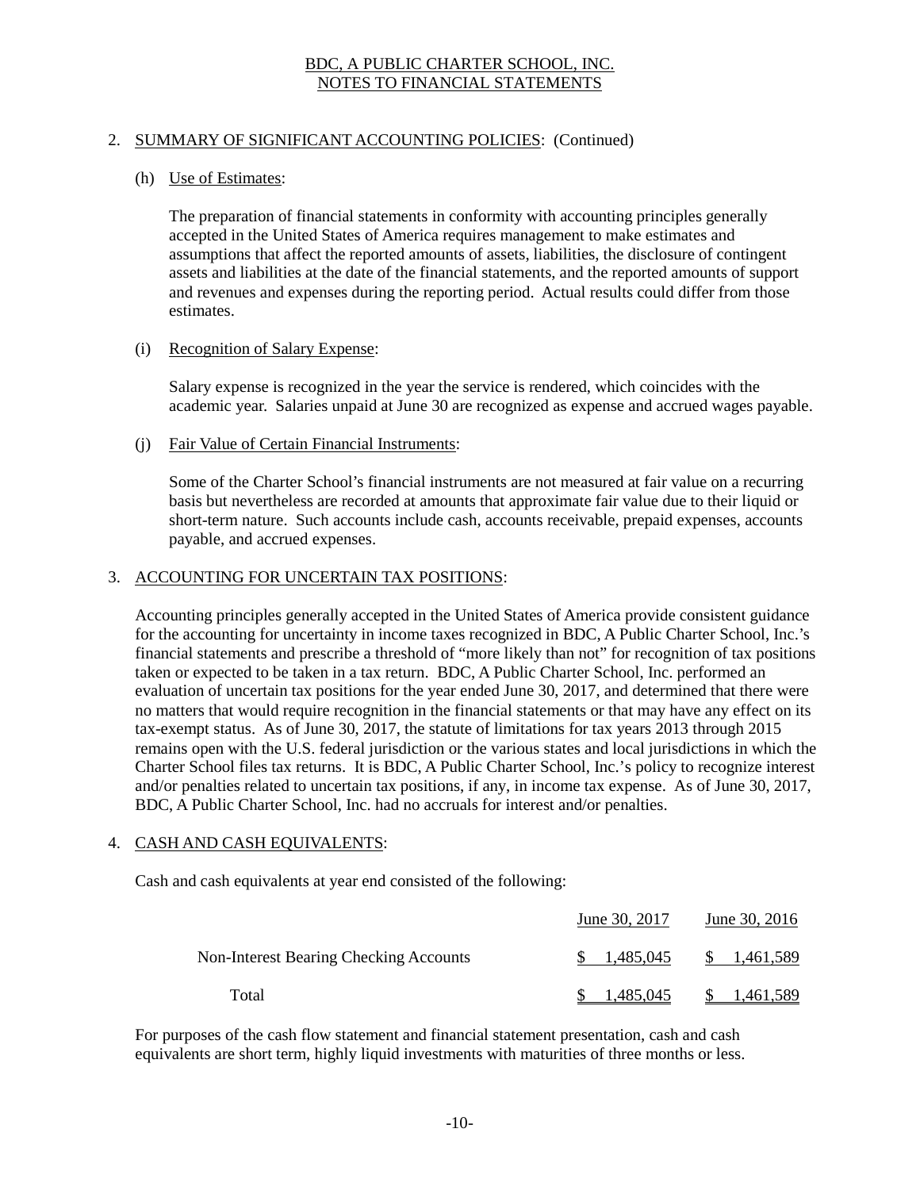# 2. SUMMARY OF SIGNIFICANT ACCOUNTING POLICIES: (Continued)

#### (h) Use of Estimates:

The preparation of financial statements in conformity with accounting principles generally accepted in the United States of America requires management to make estimates and assumptions that affect the reported amounts of assets, liabilities, the disclosure of contingent assets and liabilities at the date of the financial statements, and the reported amounts of support and revenues and expenses during the reporting period. Actual results could differ from those estimates.

#### (i) Recognition of Salary Expense:

Salary expense is recognized in the year the service is rendered, which coincides with the academic year. Salaries unpaid at June 30 are recognized as expense and accrued wages payable.

(j) Fair Value of Certain Financial Instruments:

Some of the Charter School's financial instruments are not measured at fair value on a recurring basis but nevertheless are recorded at amounts that approximate fair value due to their liquid or short-term nature. Such accounts include cash, accounts receivable, prepaid expenses, accounts payable, and accrued expenses.

#### 3. ACCOUNTING FOR UNCERTAIN TAX POSITIONS:

Accounting principles generally accepted in the United States of America provide consistent guidance for the accounting for uncertainty in income taxes recognized in BDC, A Public Charter School, Inc.'s financial statements and prescribe a threshold of "more likely than not" for recognition of tax positions taken or expected to be taken in a tax return. BDC, A Public Charter School, Inc. performed an evaluation of uncertain tax positions for the year ended June 30, 2017, and determined that there were no matters that would require recognition in the financial statements or that may have any effect on its tax-exempt status. As of June 30, 2017, the statute of limitations for tax years 2013 through 2015 remains open with the U.S. federal jurisdiction or the various states and local jurisdictions in which the Charter School files tax returns. It is BDC, A Public Charter School, Inc.'s policy to recognize interest and/or penalties related to uncertain tax positions, if any, in income tax expense. As of June 30, 2017, BDC, A Public Charter School, Inc. had no accruals for interest and/or penalties.

#### 4. CASH AND CASH EQUIVALENTS:

Cash and cash equivalents at year end consisted of the following:

|                                        | June 30, 2017 | June 30, 2016    |  |  |
|----------------------------------------|---------------|------------------|--|--|
| Non-Interest Bearing Checking Accounts | 1.485,045     | SS.<br>1,461,589 |  |  |
| Total                                  | 1.485.045     | 1,461,589        |  |  |

For purposes of the cash flow statement and financial statement presentation, cash and cash equivalents are short term, highly liquid investments with maturities of three months or less.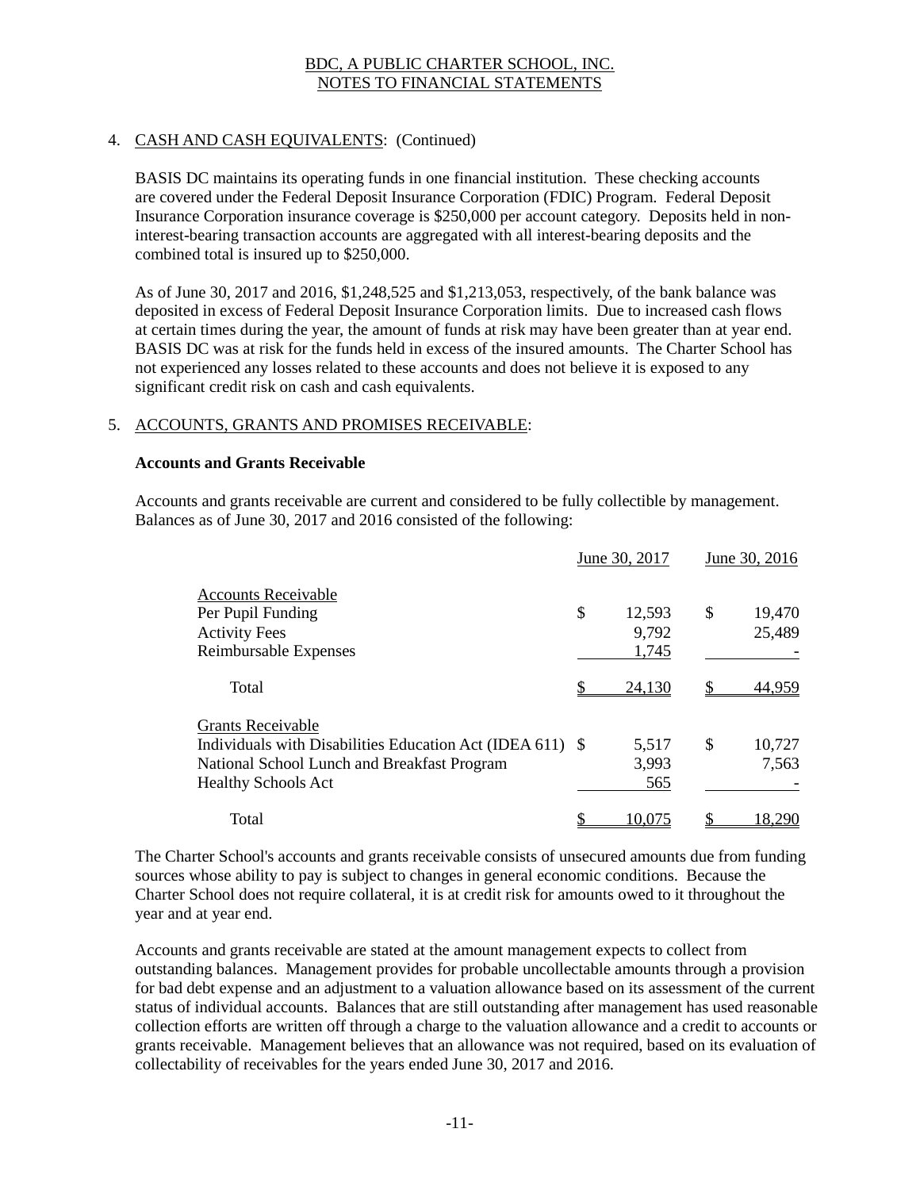# 4. CASH AND CASH EQUIVALENTS: (Continued)

BASIS DC maintains its operating funds in one financial institution. These checking accounts are covered under the Federal Deposit Insurance Corporation (FDIC) Program. Federal Deposit Insurance Corporation insurance coverage is \$250,000 per account category. Deposits held in noninterest-bearing transaction accounts are aggregated with all interest-bearing deposits and the combined total is insured up to \$250,000.

As of June 30, 2017 and 2016, \$1,248,525 and \$1,213,053, respectively, of the bank balance was deposited in excess of Federal Deposit Insurance Corporation limits. Due to increased cash flows at certain times during the year, the amount of funds at risk may have been greater than at year end. BASIS DC was at risk for the funds held in excess of the insured amounts. The Charter School has not experienced any losses related to these accounts and does not believe it is exposed to any significant credit risk on cash and cash equivalents.

#### 5. ACCOUNTS, GRANTS AND PROMISES RECEIVABLE:

#### **Accounts and Grants Receivable**

Accounts and grants receivable are current and considered to be fully collectible by management. Balances as of June 30, 2017 and 2016 consisted of the following:

|                                                           |    | June 30, 2017<br>June 30, 2016 |    |        |
|-----------------------------------------------------------|----|--------------------------------|----|--------|
| <b>Accounts Receivable</b>                                |    |                                |    |        |
| Per Pupil Funding                                         | \$ | 12,593                         | \$ | 19,470 |
| <b>Activity Fees</b>                                      |    | 9,792                          |    | 25,489 |
| Reimbursable Expenses                                     |    | 1,745                          |    |        |
| Total                                                     |    | 24,130                         |    | 44.959 |
| <b>Grants Receivable</b>                                  |    |                                |    |        |
| Individuals with Disabilities Education Act (IDEA 611) \$ |    | 5,517                          | \$ | 10,727 |
| National School Lunch and Breakfast Program               |    | 3,993                          |    | 7,563  |
| <b>Healthy Schools Act</b>                                |    | 565                            |    |        |
| Total                                                     |    | 10.075                         |    | 18.290 |

The Charter School's accounts and grants receivable consists of unsecured amounts due from funding sources whose ability to pay is subject to changes in general economic conditions. Because the Charter School does not require collateral, it is at credit risk for amounts owed to it throughout the year and at year end.

Accounts and grants receivable are stated at the amount management expects to collect from outstanding balances. Management provides for probable uncollectable amounts through a provision for bad debt expense and an adjustment to a valuation allowance based on its assessment of the current status of individual accounts. Balances that are still outstanding after management has used reasonable collection efforts are written off through a charge to the valuation allowance and a credit to accounts or grants receivable. Management believes that an allowance was not required, based on its evaluation of collectability of receivables for the years ended June 30, 2017 and 2016.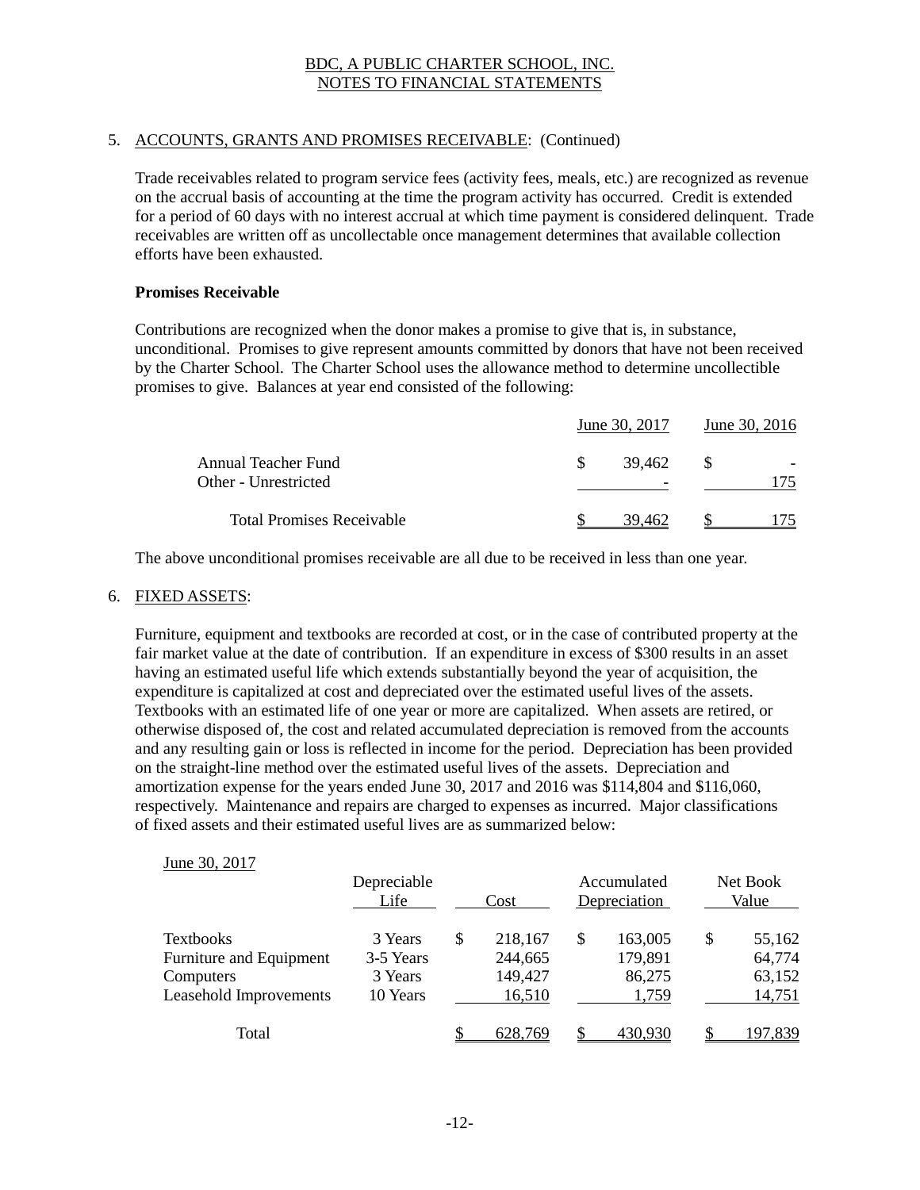# 5. ACCOUNTS, GRANTS AND PROMISES RECEIVABLE: (Continued)

Trade receivables related to program service fees (activity fees, meals, etc.) are recognized as revenue on the accrual basis of accounting at the time the program activity has occurred. Credit is extended for a period of 60 days with no interest accrual at which time payment is considered delinquent. Trade receivables are written off as uncollectable once management determines that available collection efforts have been exhausted.

#### **Promises Receivable**

Contributions are recognized when the donor makes a promise to give that is, in substance, unconditional. Promises to give represent amounts committed by donors that have not been received by the Charter School. The Charter School uses the allowance method to determine uncollectible promises to give. Balances at year end consisted of the following:

|                                             |  | June 30, 2017 | June 30, 2016 |  |  |
|---------------------------------------------|--|---------------|---------------|--|--|
| Annual Teacher Fund<br>Other - Unrestricted |  | 39.462<br>-   | - 8           |  |  |
| <b>Total Promises Receivable</b>            |  | 39 462        |               |  |  |

The above unconditional promises receivable are all due to be received in less than one year.

#### 6. FIXED ASSETS:

Furniture, equipment and textbooks are recorded at cost, or in the case of contributed property at the fair market value at the date of contribution. If an expenditure in excess of \$300 results in an asset having an estimated useful life which extends substantially beyond the year of acquisition, the expenditure is capitalized at cost and depreciated over the estimated useful lives of the assets. Textbooks with an estimated life of one year or more are capitalized. When assets are retired, or otherwise disposed of, the cost and related accumulated depreciation is removed from the accounts and any resulting gain or loss is reflected in income for the period. Depreciation has been provided on the straight-line method over the estimated useful lives of the assets. Depreciation and amortization expense for the years ended June 30, 2017 and 2016 was \$114,804 and \$116,060, respectively. Maintenance and repairs are charged to expenses as incurred. Major classifications of fixed assets and their estimated useful lives are as summarized below:

#### June 30, 2017

|                                                                                    | Depreciable<br>Life                         |   | Cost                                    |   | Accumulated<br>Depreciation           | Net Book<br>Value                          |
|------------------------------------------------------------------------------------|---------------------------------------------|---|-----------------------------------------|---|---------------------------------------|--------------------------------------------|
| <b>Textbooks</b><br>Furniture and Equipment<br>Computers<br>Leasehold Improvements | 3 Years<br>3-5 Years<br>3 Years<br>10 Years | S | 218,167<br>244,665<br>149,427<br>16,510 | S | 163,005<br>179,891<br>86,275<br>1,759 | \$<br>55,162<br>64,774<br>63,152<br>14,751 |
| Total                                                                              |                                             |   | 628,769                                 |   | 430,930                               | 97,839                                     |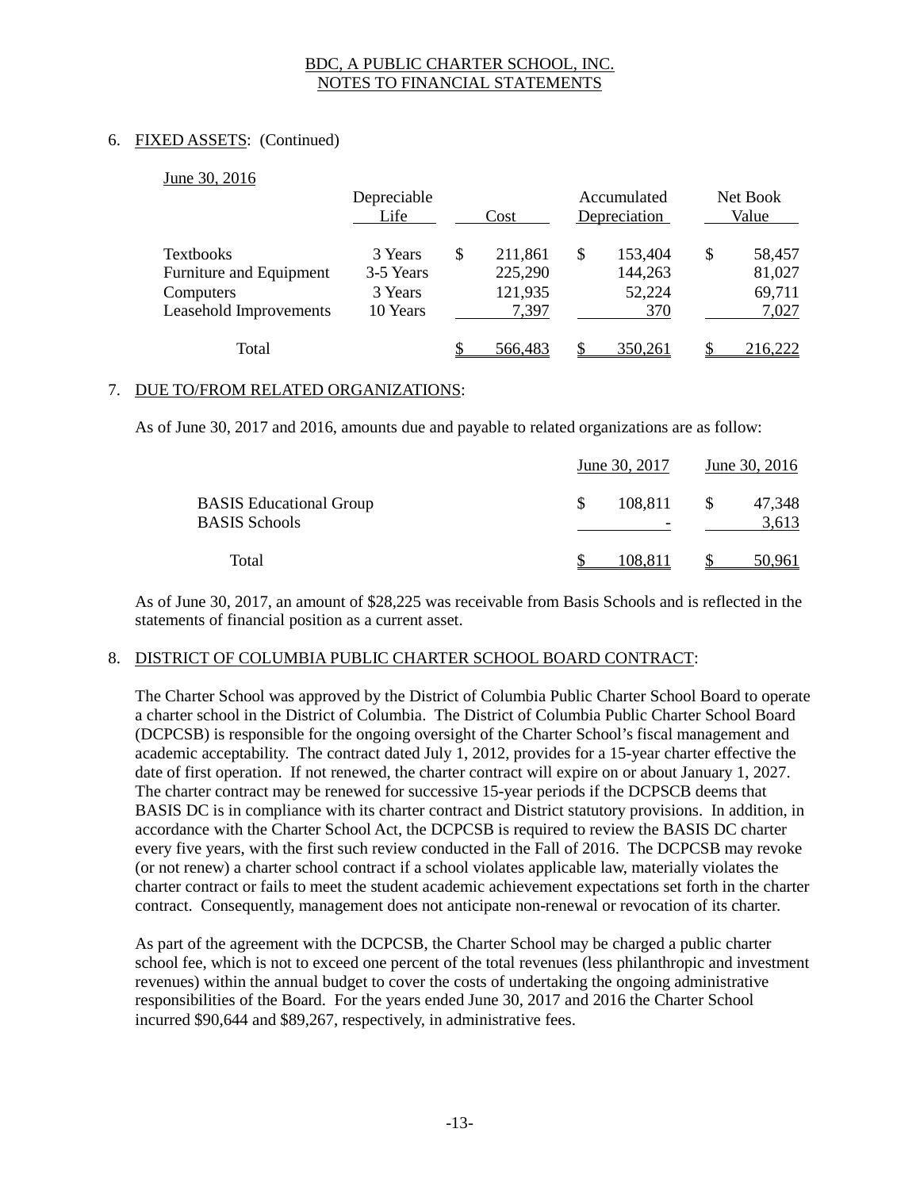# 6. FIXED ASSETS: (Continued)

 $20, 2016$ 

| June 30, 2016           | Depreciable<br>Life<br>Cost |    | Accumulated<br>Depreciation | Net Book<br>Value |         |    |         |
|-------------------------|-----------------------------|----|-----------------------------|-------------------|---------|----|---------|
| <b>Textbooks</b>        | 3 Years                     | \$ | 211,861                     | S                 | 153,404 | \$ | 58,457  |
| Furniture and Equipment | 3-5 Years                   |    | 225,290                     |                   | 144,263 |    | 81,027  |
| Computers               | 3 Years                     |    | 121,935                     |                   | 52,224  |    | 69,711  |
| Leasehold Improvements  | 10 Years                    |    | 7,397                       |                   | 370     |    | 7,027   |
| Total                   |                             |    | 566,483                     |                   | 350.261 |    | 216,222 |

#### 7. DUE TO/FROM RELATED ORGANIZATIONS:

As of June 30, 2017 and 2016, amounts due and payable to related organizations are as follow:

|                                                        | June 30, 2017<br>June 30, 2016 |     |                 |
|--------------------------------------------------------|--------------------------------|-----|-----------------|
| <b>BASIS</b> Educational Group<br><b>BASIS Schools</b> | 108,811                        | \$. | 47,348<br>3,613 |
| Total                                                  | 108.811                        |     | 50.961          |

As of June 30, 2017, an amount of \$28,225 was receivable from Basis Schools and is reflected in the statements of financial position as a current asset.

#### 8. DISTRICT OF COLUMBIA PUBLIC CHARTER SCHOOL BOARD CONTRACT:

The Charter School was approved by the District of Columbia Public Charter School Board to operate a charter school in the District of Columbia. The District of Columbia Public Charter School Board (DCPCSB) is responsible for the ongoing oversight of the Charter School's fiscal management and academic acceptability. The contract dated July 1, 2012, provides for a 15-year charter effective the date of first operation. If not renewed, the charter contract will expire on or about January 1, 2027. The charter contract may be renewed for successive 15-year periods if the DCPSCB deems that BASIS DC is in compliance with its charter contract and District statutory provisions. In addition, in accordance with the Charter School Act, the DCPCSB is required to review the BASIS DC charter every five years, with the first such review conducted in the Fall of 2016. The DCPCSB may revoke (or not renew) a charter school contract if a school violates applicable law, materially violates the charter contract or fails to meet the student academic achievement expectations set forth in the charter contract. Consequently, management does not anticipate non-renewal or revocation of its charter.

As part of the agreement with the DCPCSB, the Charter School may be charged a public charter school fee, which is not to exceed one percent of the total revenues (less philanthropic and investment revenues) within the annual budget to cover the costs of undertaking the ongoing administrative responsibilities of the Board. For the years ended June 30, 2017 and 2016 the Charter School incurred \$90,644 and \$89,267, respectively, in administrative fees.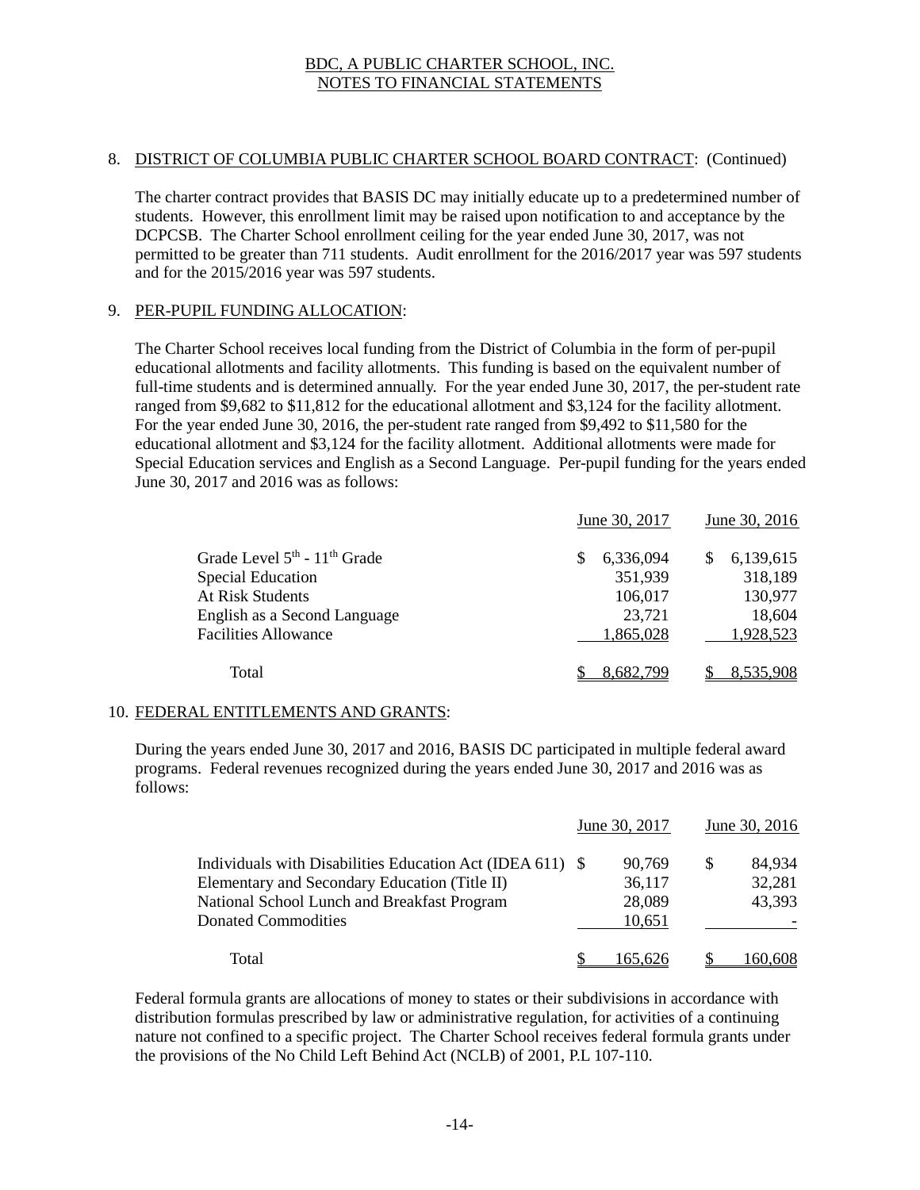#### 8. DISTRICT OF COLUMBIA PUBLIC CHARTER SCHOOL BOARD CONTRACT: (Continued)

The charter contract provides that BASIS DC may initially educate up to a predetermined number of students. However, this enrollment limit may be raised upon notification to and acceptance by the DCPCSB. The Charter School enrollment ceiling for the year ended June 30, 2017, was not permitted to be greater than 711 students. Audit enrollment for the 2016/2017 year was 597 students and for the 2015/2016 year was 597 students.

#### 9. PER-PUPIL FUNDING ALLOCATION:

The Charter School receives local funding from the District of Columbia in the form of per-pupil educational allotments and facility allotments. This funding is based on the equivalent number of full-time students and is determined annually. For the year ended June 30, 2017, the per-student rate ranged from \$9,682 to \$11,812 for the educational allotment and \$3,124 for the facility allotment. For the year ended June 30, 2016, the per-student rate ranged from \$9,492 to \$11,580 for the educational allotment and \$3,124 for the facility allotment. Additional allotments were made for Special Education services and English as a Second Language. Per-pupil funding for the years ended June 30, 2017 and 2016 was as follows:

|                                                      | June 30, 2017 |           | June 30, 2016 |
|------------------------------------------------------|---------------|-----------|---------------|
| Grade Level 5 <sup>th</sup> - 11 <sup>th</sup> Grade | S             | 6,336,094 | 6,139,615     |
| <b>Special Education</b>                             |               | 351,939   | 318,189       |
| <b>At Risk Students</b>                              |               | 106,017   | 130,977       |
| English as a Second Language                         |               | 23,721    | 18,604        |
| <b>Facilities Allowance</b>                          |               | 1,865,028 | 1,928,523     |
| Total                                                |               | 8.682,799 | 8.535.908     |

# 10. FEDERAL ENTITLEMENTS AND GRANTS:

During the years ended June 30, 2017 and 2016, BASIS DC participated in multiple federal award programs. Federal revenues recognized during the years ended June 30, 2017 and 2016 was as follows:

|                                                                                                             | June 30, 2017    |   | June 30, 2016    |
|-------------------------------------------------------------------------------------------------------------|------------------|---|------------------|
| Individuals with Disabilities Education Act (IDEA 611) $\$<br>Elementary and Secondary Education (Title II) | 90.769<br>36,117 | S | 84,934<br>32,281 |
| National School Lunch and Breakfast Program<br><b>Donated Commodities</b>                                   | 28,089<br>10,651 |   | 43,393           |
| Total                                                                                                       | 165.626          |   | 160,608          |

Federal formula grants are allocations of money to states or their subdivisions in accordance with distribution formulas prescribed by law or administrative regulation, for activities of a continuing nature not confined to a specific project. The Charter School receives federal formula grants under the provisions of the No Child Left Behind Act (NCLB) of 2001, P.L 107-110.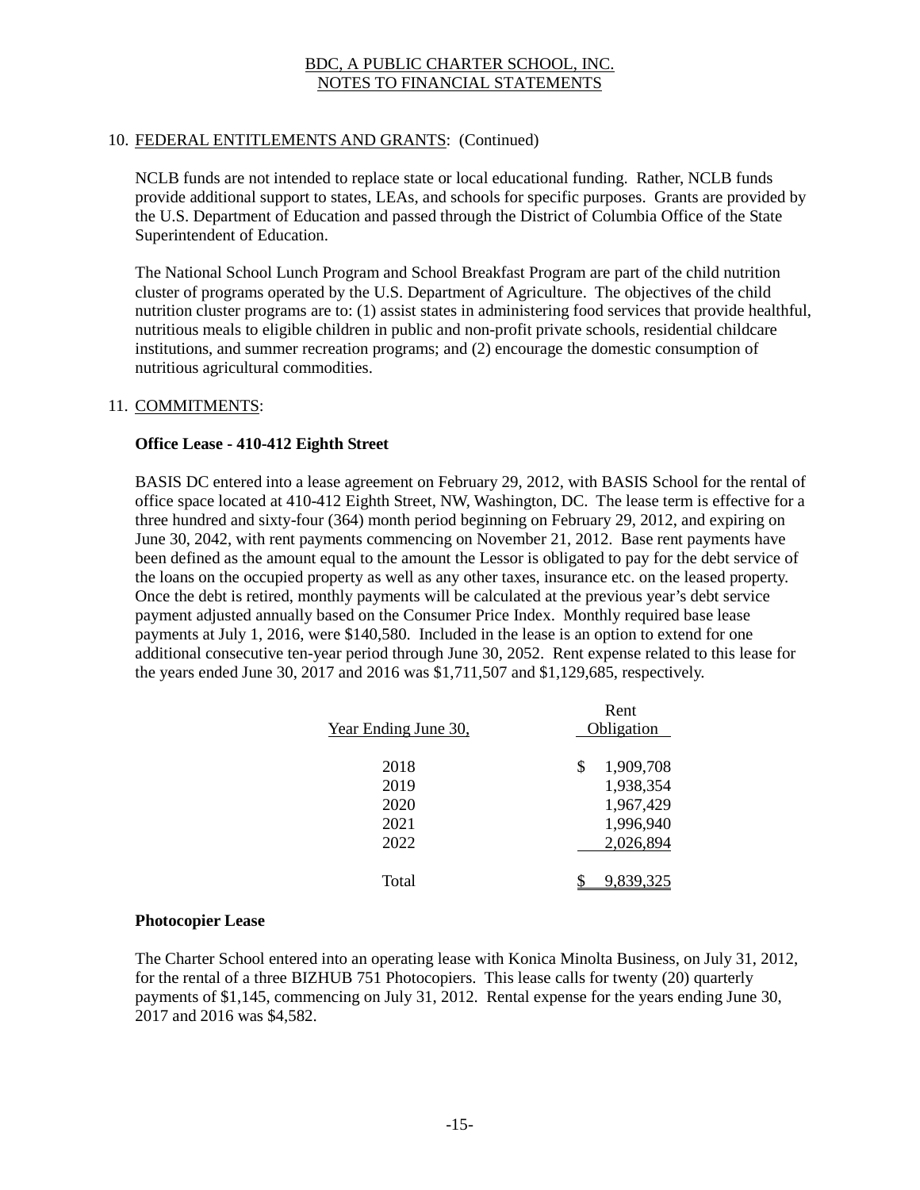# 10. FEDERAL ENTITLEMENTS AND GRANTS: (Continued)

NCLB funds are not intended to replace state or local educational funding. Rather, NCLB funds provide additional support to states, LEAs, and schools for specific purposes. Grants are provided by the U.S. Department of Education and passed through the District of Columbia Office of the State Superintendent of Education.

The National School Lunch Program and School Breakfast Program are part of the child nutrition cluster of programs operated by the U.S. Department of Agriculture. The objectives of the child nutrition cluster programs are to: (1) assist states in administering food services that provide healthful, nutritious meals to eligible children in public and non-profit private schools, residential childcare institutions, and summer recreation programs; and (2) encourage the domestic consumption of nutritious agricultural commodities.

#### 11. COMMITMENTS:

#### **Office Lease - 410-412 Eighth Street**

BASIS DC entered into a lease agreement on February 29, 2012, with BASIS School for the rental of office space located at 410-412 Eighth Street, NW, Washington, DC. The lease term is effective for a three hundred and sixty-four (364) month period beginning on February 29, 2012, and expiring on June 30, 2042, with rent payments commencing on November 21, 2012. Base rent payments have been defined as the amount equal to the amount the Lessor is obligated to pay for the debt service of the loans on the occupied property as well as any other taxes, insurance etc. on the leased property. Once the debt is retired, monthly payments will be calculated at the previous year's debt service payment adjusted annually based on the Consumer Price Index. Monthly required base lease payments at July 1, 2016, were \$140,580. Included in the lease is an option to extend for one additional consecutive ten-year period through June 30, 2052. Rent expense related to this lease for the years ended June 30, 2017 and 2016 was \$1,711,507 and \$1,129,685, respectively.

|                      | Rent            |
|----------------------|-----------------|
| Year Ending June 30, | Obligation      |
| 2018                 | 1,909,708<br>\$ |
| 2019                 | 1,938,354       |
| 2020                 | 1,967,429       |
| 2021                 | 1,996,940       |
| 2022                 | 2,026,894       |
| Total                | 9.839.32        |

#### **Photocopier Lease**

The Charter School entered into an operating lease with Konica Minolta Business, on July 31, 2012, for the rental of a three BIZHUB 751 Photocopiers. This lease calls for twenty (20) quarterly payments of \$1,145, commencing on July 31, 2012. Rental expense for the years ending June 30, 2017 and 2016 was \$4,582.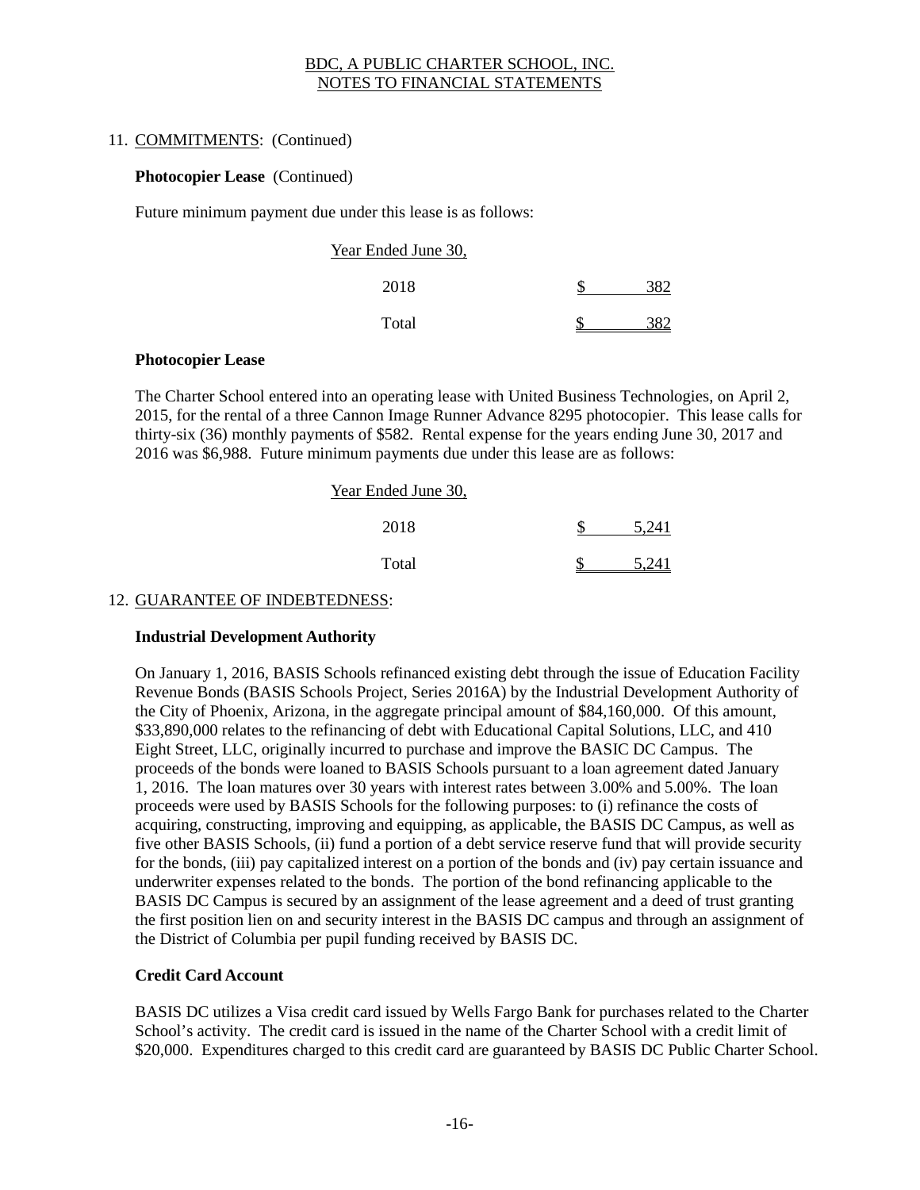# 11. COMMITMENTS: (Continued)

#### **Photocopier Lease** (Continued)

Future minimum payment due under this lease is as follows:

| Year Ended June 30, |  |
|---------------------|--|
| 2018                |  |
| Total               |  |

#### **Photocopier Lease**

The Charter School entered into an operating lease with United Business Technologies, on April 2, 2015, for the rental of a three Cannon Image Runner Advance 8295 photocopier. This lease calls for thirty-six (36) monthly payments of \$582. Rental expense for the years ending June 30, 2017 and 2016 was \$6,988. Future minimum payments due under this lease are as follows:

| Year Ended June 30, |       |
|---------------------|-------|
| 2018                | 5.241 |
| Total               | 741   |

## 12. GUARANTEE OF INDEBTEDNESS:

# **Industrial Development Authority**

On January 1, 2016, BASIS Schools refinanced existing debt through the issue of Education Facility Revenue Bonds (BASIS Schools Project, Series 2016A) by the Industrial Development Authority of the City of Phoenix, Arizona, in the aggregate principal amount of \$84,160,000. Of this amount, \$33,890,000 relates to the refinancing of debt with Educational Capital Solutions, LLC, and 410 Eight Street, LLC, originally incurred to purchase and improve the BASIC DC Campus. The proceeds of the bonds were loaned to BASIS Schools pursuant to a loan agreement dated January 1, 2016. The loan matures over 30 years with interest rates between 3.00% and 5.00%. The loan proceeds were used by BASIS Schools for the following purposes: to (i) refinance the costs of acquiring, constructing, improving and equipping, as applicable, the BASIS DC Campus, as well as five other BASIS Schools, (ii) fund a portion of a debt service reserve fund that will provide security for the bonds, (iii) pay capitalized interest on a portion of the bonds and (iv) pay certain issuance and underwriter expenses related to the bonds. The portion of the bond refinancing applicable to the BASIS DC Campus is secured by an assignment of the lease agreement and a deed of trust granting the first position lien on and security interest in the BASIS DC campus and through an assignment of the District of Columbia per pupil funding received by BASIS DC.

# **Credit Card Account**

BASIS DC utilizes a Visa credit card issued by Wells Fargo Bank for purchases related to the Charter School's activity. The credit card is issued in the name of the Charter School with a credit limit of \$20,000. Expenditures charged to this credit card are guaranteed by BASIS DC Public Charter School.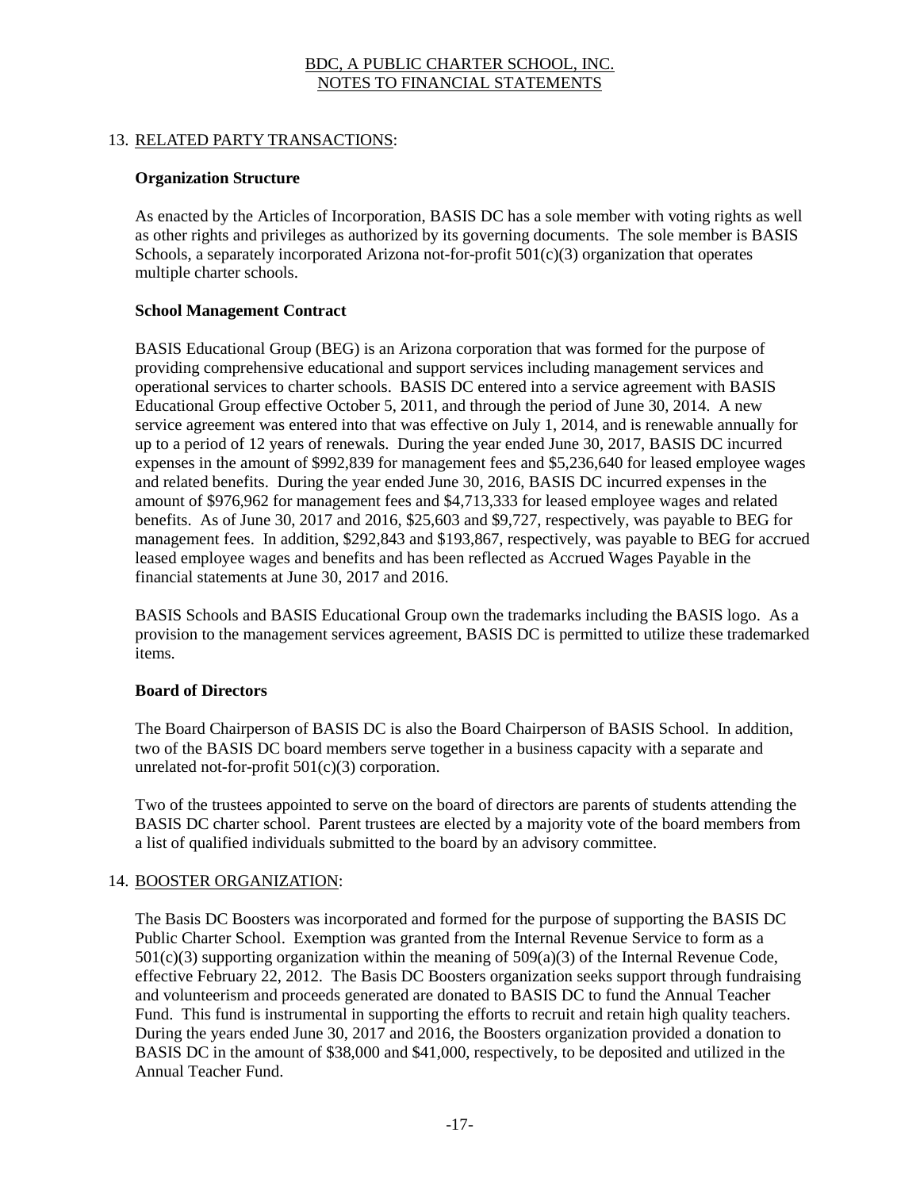# 13. RELATED PARTY TRANSACTIONS:

## **Organization Structure**

As enacted by the Articles of Incorporation, BASIS DC has a sole member with voting rights as well as other rights and privileges as authorized by its governing documents. The sole member is BASIS Schools, a separately incorporated Arizona not-for-profit  $501(c)(3)$  organization that operates multiple charter schools.

#### **School Management Contract**

BASIS Educational Group (BEG) is an Arizona corporation that was formed for the purpose of providing comprehensive educational and support services including management services and operational services to charter schools. BASIS DC entered into a service agreement with BASIS Educational Group effective October 5, 2011, and through the period of June 30, 2014. A new service agreement was entered into that was effective on July 1, 2014, and is renewable annually for up to a period of 12 years of renewals. During the year ended June 30, 2017, BASIS DC incurred expenses in the amount of \$992,839 for management fees and \$5,236,640 for leased employee wages and related benefits. During the year ended June 30, 2016, BASIS DC incurred expenses in the amount of \$976,962 for management fees and \$4,713,333 for leased employee wages and related benefits. As of June 30, 2017 and 2016, \$25,603 and \$9,727, respectively, was payable to BEG for management fees. In addition, \$292,843 and \$193,867, respectively, was payable to BEG for accrued leased employee wages and benefits and has been reflected as Accrued Wages Payable in the financial statements at June 30, 2017 and 2016.

BASIS Schools and BASIS Educational Group own the trademarks including the BASIS logo. As a provision to the management services agreement, BASIS DC is permitted to utilize these trademarked items.

#### **Board of Directors**

The Board Chairperson of BASIS DC is also the Board Chairperson of BASIS School. In addition, two of the BASIS DC board members serve together in a business capacity with a separate and unrelated not-for-profit 501(c)(3) corporation.

Two of the trustees appointed to serve on the board of directors are parents of students attending the BASIS DC charter school. Parent trustees are elected by a majority vote of the board members from a list of qualified individuals submitted to the board by an advisory committee.

#### 14. BOOSTER ORGANIZATION:

The Basis DC Boosters was incorporated and formed for the purpose of supporting the BASIS DC Public Charter School. Exemption was granted from the Internal Revenue Service to form as a  $501(c)(3)$  supporting organization within the meaning of  $509(a)(3)$  of the Internal Revenue Code, effective February 22, 2012. The Basis DC Boosters organization seeks support through fundraising and volunteerism and proceeds generated are donated to BASIS DC to fund the Annual Teacher Fund. This fund is instrumental in supporting the efforts to recruit and retain high quality teachers. During the years ended June 30, 2017 and 2016, the Boosters organization provided a donation to BASIS DC in the amount of \$38,000 and \$41,000, respectively, to be deposited and utilized in the Annual Teacher Fund.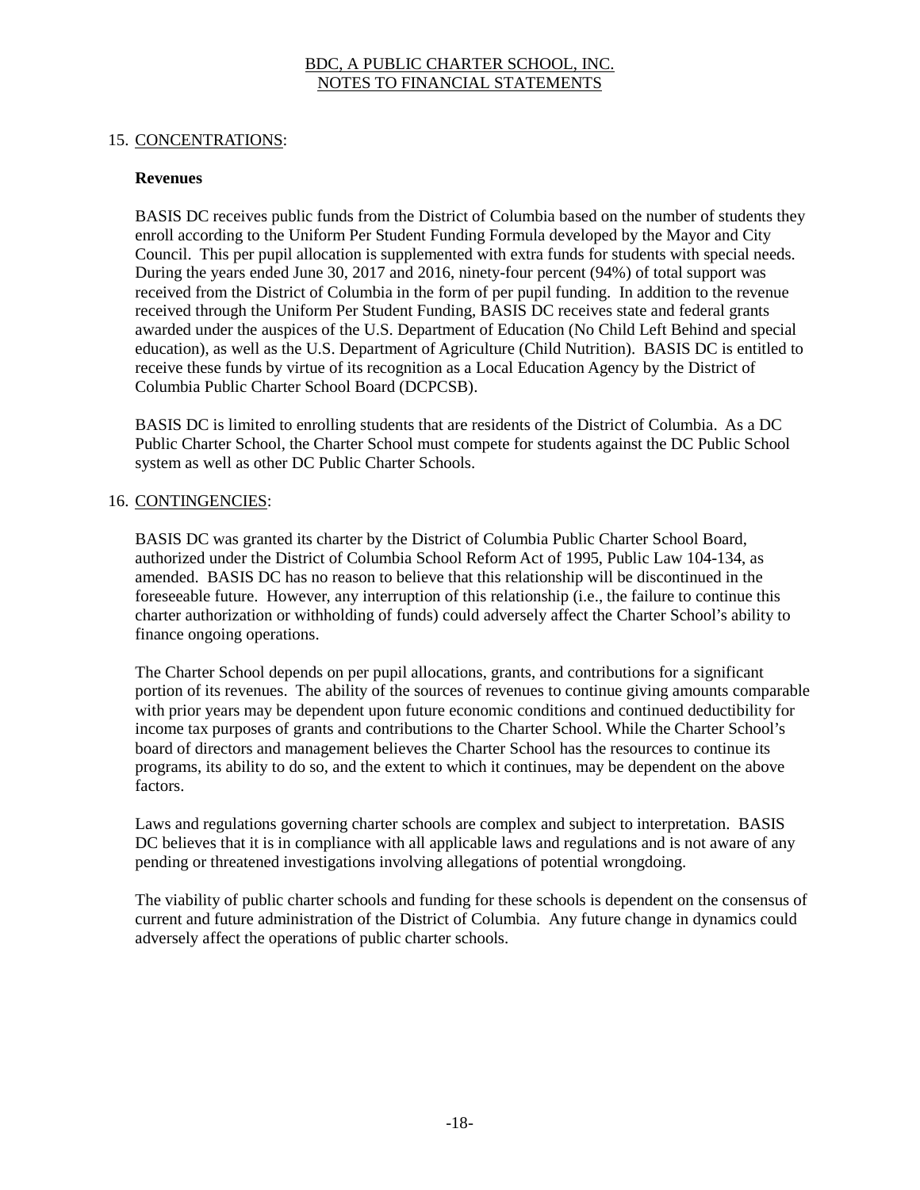#### 15. CONCENTRATIONS:

#### **Revenues**

BASIS DC receives public funds from the District of Columbia based on the number of students they enroll according to the Uniform Per Student Funding Formula developed by the Mayor and City Council. This per pupil allocation is supplemented with extra funds for students with special needs. During the years ended June 30, 2017 and 2016, ninety-four percent (94%) of total support was received from the District of Columbia in the form of per pupil funding. In addition to the revenue received through the Uniform Per Student Funding, BASIS DC receives state and federal grants awarded under the auspices of the U.S. Department of Education (No Child Left Behind and special education), as well as the U.S. Department of Agriculture (Child Nutrition). BASIS DC is entitled to receive these funds by virtue of its recognition as a Local Education Agency by the District of Columbia Public Charter School Board (DCPCSB).

BASIS DC is limited to enrolling students that are residents of the District of Columbia. As a DC Public Charter School, the Charter School must compete for students against the DC Public School system as well as other DC Public Charter Schools.

# 16. CONTINGENCIES:

BASIS DC was granted its charter by the District of Columbia Public Charter School Board, authorized under the District of Columbia School Reform Act of 1995, Public Law 104-134, as amended. BASIS DC has no reason to believe that this relationship will be discontinued in the foreseeable future. However, any interruption of this relationship (i.e., the failure to continue this charter authorization or withholding of funds) could adversely affect the Charter School's ability to finance ongoing operations.

The Charter School depends on per pupil allocations, grants, and contributions for a significant portion of its revenues. The ability of the sources of revenues to continue giving amounts comparable with prior years may be dependent upon future economic conditions and continued deductibility for income tax purposes of grants and contributions to the Charter School. While the Charter School's board of directors and management believes the Charter School has the resources to continue its programs, its ability to do so, and the extent to which it continues, may be dependent on the above factors.

Laws and regulations governing charter schools are complex and subject to interpretation. BASIS DC believes that it is in compliance with all applicable laws and regulations and is not aware of any pending or threatened investigations involving allegations of potential wrongdoing.

The viability of public charter schools and funding for these schools is dependent on the consensus of current and future administration of the District of Columbia. Any future change in dynamics could adversely affect the operations of public charter schools.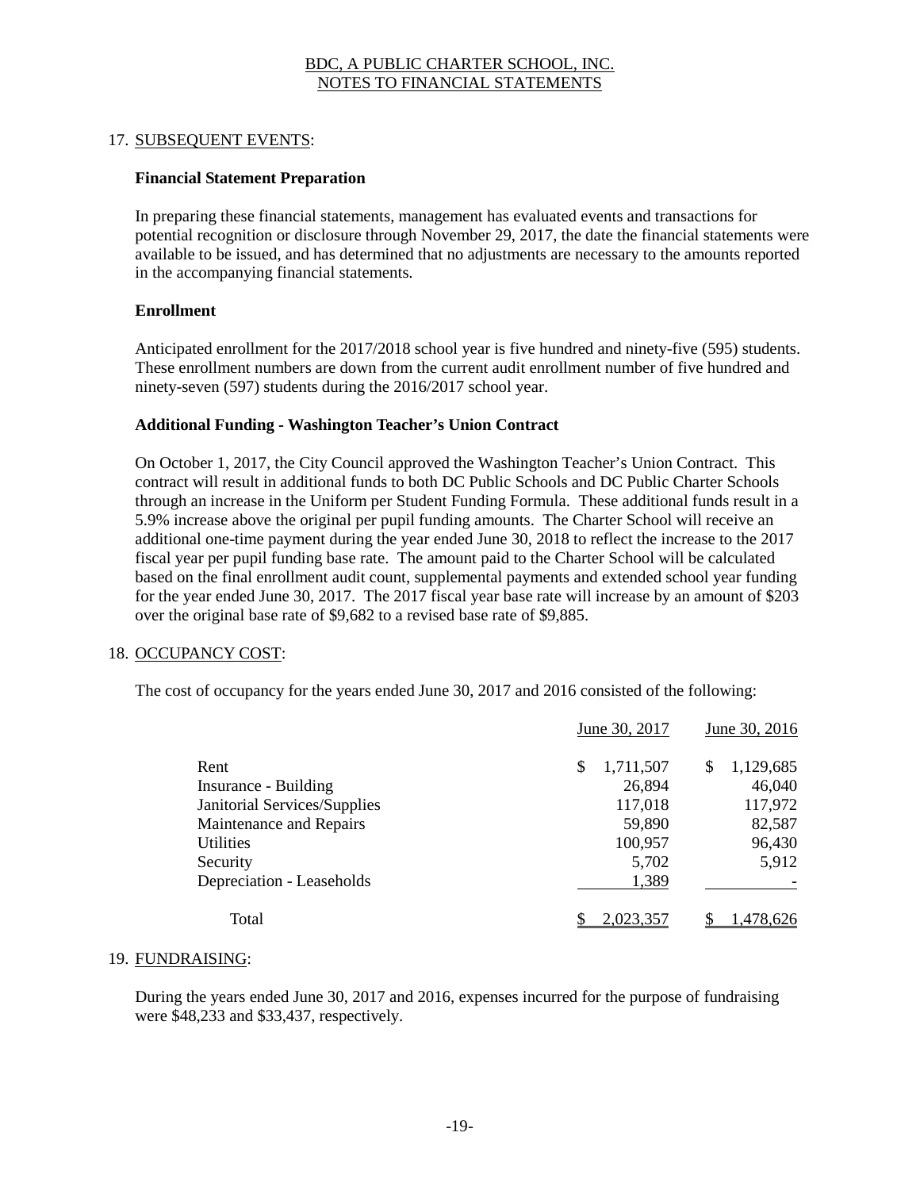#### 17. SUBSEQUENT EVENTS:

#### **Financial Statement Preparation**

In preparing these financial statements, management has evaluated events and transactions for potential recognition or disclosure through November 29, 2017, the date the financial statements were available to be issued, and has determined that no adjustments are necessary to the amounts reported in the accompanying financial statements.

#### **Enrollment**

Anticipated enrollment for the 2017/2018 school year is five hundred and ninety-five (595) students. These enrollment numbers are down from the current audit enrollment number of five hundred and ninety-seven (597) students during the 2016/2017 school year.

#### **Additional Funding - Washington Teacher's Union Contract**

On October 1, 2017, the City Council approved the Washington Teacher's Union Contract. This contract will result in additional funds to both DC Public Schools and DC Public Charter Schools through an increase in the Uniform per Student Funding Formula. These additional funds result in a 5.9% increase above the original per pupil funding amounts. The Charter School will receive an additional one-time payment during the year ended June 30, 2018 to reflect the increase to the 2017 fiscal year per pupil funding base rate. The amount paid to the Charter School will be calculated based on the final enrollment audit count, supplemental payments and extended school year funding for the year ended June 30, 2017. The 2017 fiscal year base rate will increase by an amount of \$203 over the original base rate of \$9,682 to a revised base rate of \$9,885.

#### 18. OCCUPANCY COST:

The cost of occupancy for the years ended June 30, 2017 and 2016 consisted of the following:

|                              | June 30, 2017  | June 30, 2016    |  |  |
|------------------------------|----------------|------------------|--|--|
| Rent                         | 1,711,507<br>S | 1,129,685<br>\$. |  |  |
| Insurance - Building         | 26,894         | 46,040           |  |  |
| Janitorial Services/Supplies | 117,018        | 117,972          |  |  |
| Maintenance and Repairs      | 59,890         | 82,587           |  |  |
| <b>Utilities</b>             | 100,957        | 96,430           |  |  |
| Security                     | 5,702          | 5,912            |  |  |
| Depreciation - Leaseholds    | 1,389          |                  |  |  |
| Total                        | 2.023.357      | /8,626           |  |  |

#### 19. FUNDRAISING:

During the years ended June 30, 2017 and 2016, expenses incurred for the purpose of fundraising were \$48,233 and \$33,437, respectively.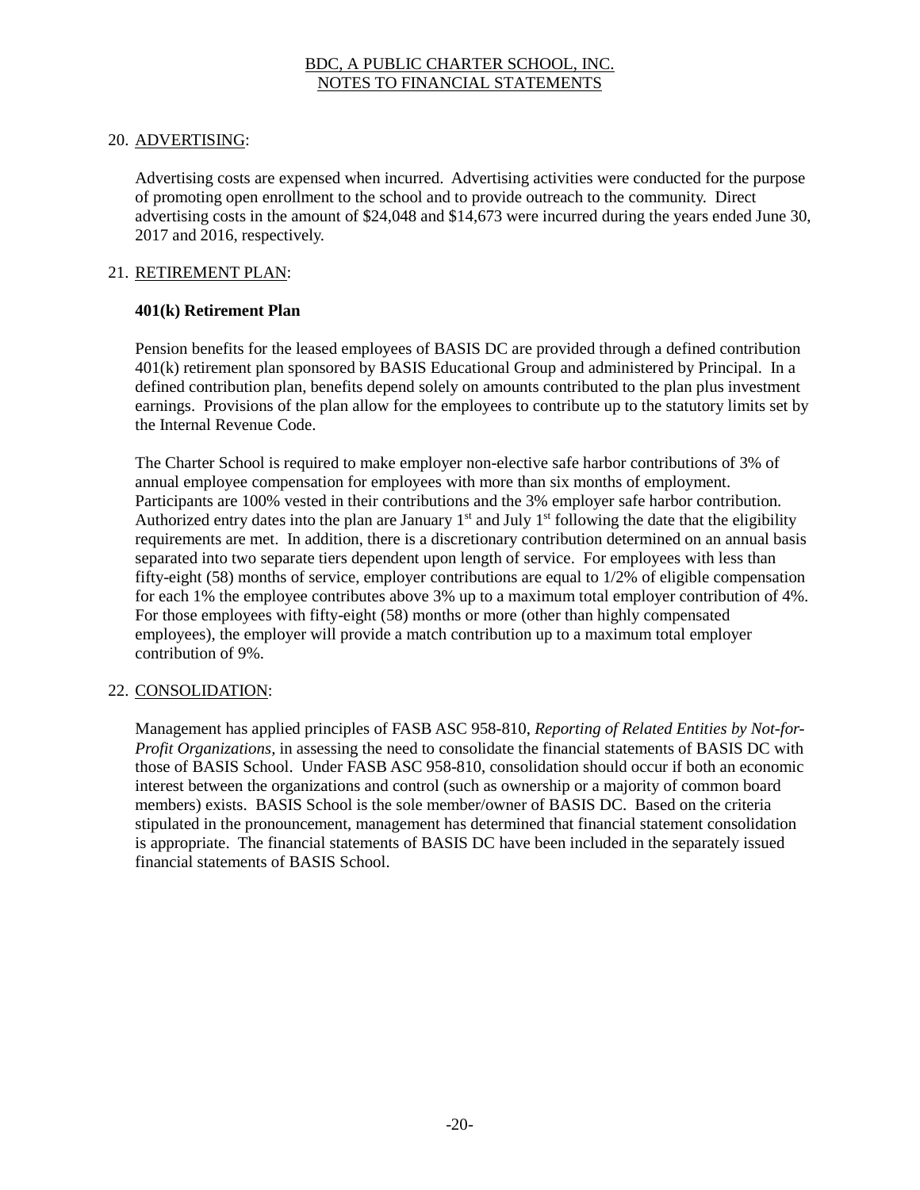## 20. ADVERTISING:

Advertising costs are expensed when incurred. Advertising activities were conducted for the purpose of promoting open enrollment to the school and to provide outreach to the community. Direct advertising costs in the amount of \$24,048 and \$14,673 were incurred during the years ended June 30, 2017 and 2016, respectively.

#### 21. RETIREMENT PLAN:

#### **401(k) Retirement Plan**

Pension benefits for the leased employees of BASIS DC are provided through a defined contribution 401(k) retirement plan sponsored by BASIS Educational Group and administered by Principal. In a defined contribution plan, benefits depend solely on amounts contributed to the plan plus investment earnings. Provisions of the plan allow for the employees to contribute up to the statutory limits set by the Internal Revenue Code.

The Charter School is required to make employer non-elective safe harbor contributions of 3% of annual employee compensation for employees with more than six months of employment. Participants are 100% vested in their contributions and the 3% employer safe harbor contribution. Authorized entry dates into the plan are January  $1<sup>st</sup>$  and July  $1<sup>st</sup>$  following the date that the eligibility requirements are met. In addition, there is a discretionary contribution determined on an annual basis separated into two separate tiers dependent upon length of service. For employees with less than fifty-eight (58) months of service, employer contributions are equal to 1/2% of eligible compensation for each 1% the employee contributes above 3% up to a maximum total employer contribution of 4%. For those employees with fifty-eight (58) months or more (other than highly compensated employees), the employer will provide a match contribution up to a maximum total employer contribution of 9%.

#### 22. CONSOLIDATION:

Management has applied principles of FASB ASC 958-810, *Reporting of Related Entities by Not-for-Profit Organizations,* in assessing the need to consolidate the financial statements of BASIS DC with those of BASIS School. Under FASB ASC 958-810, consolidation should occur if both an economic interest between the organizations and control (such as ownership or a majority of common board members) exists. BASIS School is the sole member/owner of BASIS DC. Based on the criteria stipulated in the pronouncement, management has determined that financial statement consolidation is appropriate. The financial statements of BASIS DC have been included in the separately issued financial statements of BASIS School.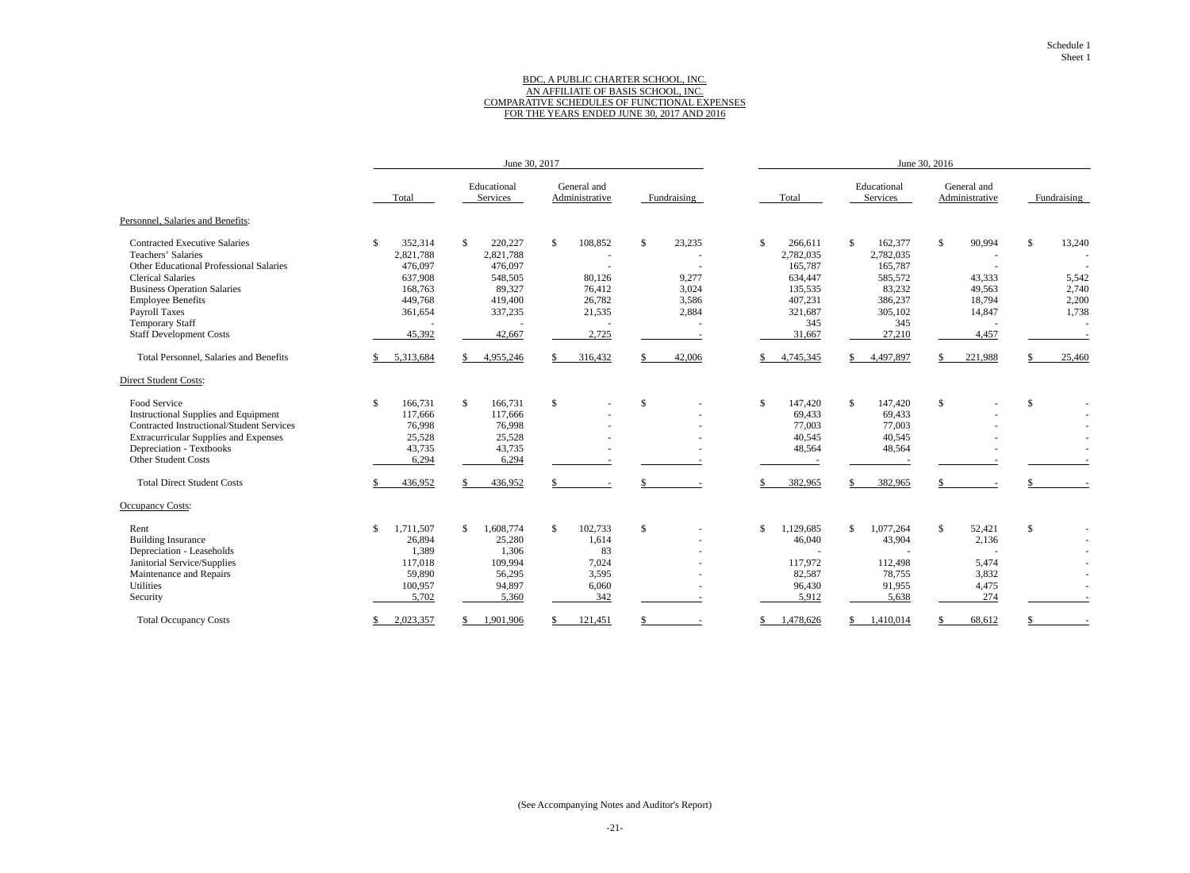#### BDC, A PUBLIC CHARTER SCHOOL, INC. AN AFFILIATE OF BASIS SCHOOL, INC. COMPARATIVE SCHEDULES OF FUNCTIONAL EXPENSES FOR THE YEARS ENDED JUNE 30, 2017 AND 2016

|                                                | June 30, 2017             |                            |                               |              | June 30, 2016           |                         |                               |              |
|------------------------------------------------|---------------------------|----------------------------|-------------------------------|--------------|-------------------------|-------------------------|-------------------------------|--------------|
|                                                | Total                     | Educational<br>Services    | General and<br>Administrative | Fundraising  | Total                   | Educational<br>Services | General and<br>Administrative | Fundraising  |
| Personnel, Salaries and Benefits:              |                           |                            |                               |              |                         |                         |                               |              |
| <b>Contracted Executive Salaries</b>           | <sup>\$</sup><br>352,314  | \$<br>220,227              | \$<br>108,852                 | \$<br>23,235 | $\mathbb{S}$<br>266,611 | \$<br>162,377           | \$<br>90,994                  | \$<br>13,240 |
| Teachers' Salaries                             | 2,821,788                 | 2,821,788                  |                               |              | 2,782,035               | 2,782,035               |                               |              |
| <b>Other Educational Professional Salaries</b> | 476,097                   | 476,097                    |                               |              | 165,787                 | 165,787                 | $\overline{\phantom{a}}$      |              |
| <b>Clerical Salaries</b>                       | 637,908                   | 548,505                    | 80,126                        | 9,277        | 634,447                 | 585,572                 | 43,333                        | 5,542        |
| <b>Business Operation Salaries</b>             | 168,763                   | 89,327                     | 76,412                        | 3,024        | 135,535                 | 83,232                  | 49,563                        | 2,740        |
| <b>Employee Benefits</b>                       | 449,768                   | 419,400                    | 26,782                        | 3,586        | 407,231                 | 386,237                 | 18,794                        | 2,200        |
| <b>Payroll Taxes</b>                           | 361,654                   | 337,235                    | 21,535                        | 2,884        | 321,687                 | 305,102                 | 14,847                        | 1,738        |
| <b>Temporary Staff</b>                         |                           |                            |                               |              | 345                     | 345                     | $\overline{a}$                |              |
| <b>Staff Development Costs</b>                 | 45,392                    | 42,667                     | 2,725                         |              | 31,667                  | 27,210                  | 4,457                         |              |
| Total Personnel, Salaries and Benefits         | 5,313,684                 | 4,955,246                  | 316,432                       | 42,006       | 4,745,345               | 4,497,897               | 221,988                       | 25,460       |
| <b>Direct Student Costs:</b>                   |                           |                            |                               |              |                         |                         |                               |              |
| Food Service                                   | $\mathcal{S}$<br>166,731  | $\mathcal{S}$<br>166,731   | \$                            | $\mathbb{S}$ | $\mathbb{S}$<br>147,420 | $\mathbb{S}$<br>147,420 | $\mathbb{S}$                  | \$           |
| <b>Instructional Supplies and Equipment</b>    | 117,666                   | 117,666                    |                               |              | 69,433                  | 69,433                  |                               |              |
| Contracted Instructional/Student Services      | 76,998                    | 76,998                     |                               |              | 77,003                  | 77,003                  |                               |              |
| <b>Extracurricular Supplies and Expenses</b>   | 25,528                    | 25,528                     |                               |              | 40,545                  | 40,545                  |                               |              |
| Depreciation - Textbooks                       | 43,735                    | 43,735                     |                               |              | 48,564                  | 48,564                  |                               |              |
| Other Student Costs                            | 6,294                     | 6,294                      |                               |              |                         |                         |                               |              |
| <b>Total Direct Student Costs</b>              | 436,952                   | 436,952                    |                               |              | 382,965                 | 382,965                 |                               |              |
| <b>Occupancy Costs:</b>                        |                           |                            |                               |              |                         |                         |                               |              |
| Rent                                           | 1,711,507<br>$\mathbb{S}$ | 1,608,774<br><sup>\$</sup> | $\mathbb{S}$<br>102,733       | \$           | \$<br>1,129,685         | 1,077,264<br>\$         | $\mathbb{S}$<br>52,421        | \$           |
| <b>Building Insurance</b>                      | 26,894                    | 25,280                     | 1,614                         |              | 46,040                  | 43,904                  | 2,136                         |              |
| Depreciation - Leaseholds                      | 1,389                     | 1,306                      | 83                            |              |                         |                         |                               |              |
| Janitorial Service/Supplies                    | 117,018                   | 109,994                    | 7,024                         |              | 117,972                 | 112,498                 | 5,474                         |              |
| Maintenance and Repairs                        | 59,890                    | 56,295                     | 3,595                         |              | 82,587                  | 78,755                  | 3,832                         |              |
| Utilities                                      | 100,957                   | 94,897                     | 6,060                         |              | 96,430                  | 91,955                  | 4,475                         |              |
| Security                                       | 5,702                     | 5,360                      | 342                           |              | 5,912                   | 5,638                   | 274                           |              |
| <b>Total Occupancy Costs</b>                   | 2,023,357                 | 1,901,906                  | 121,451                       |              | ,478,626                | 1,410,014               | 68,612                        |              |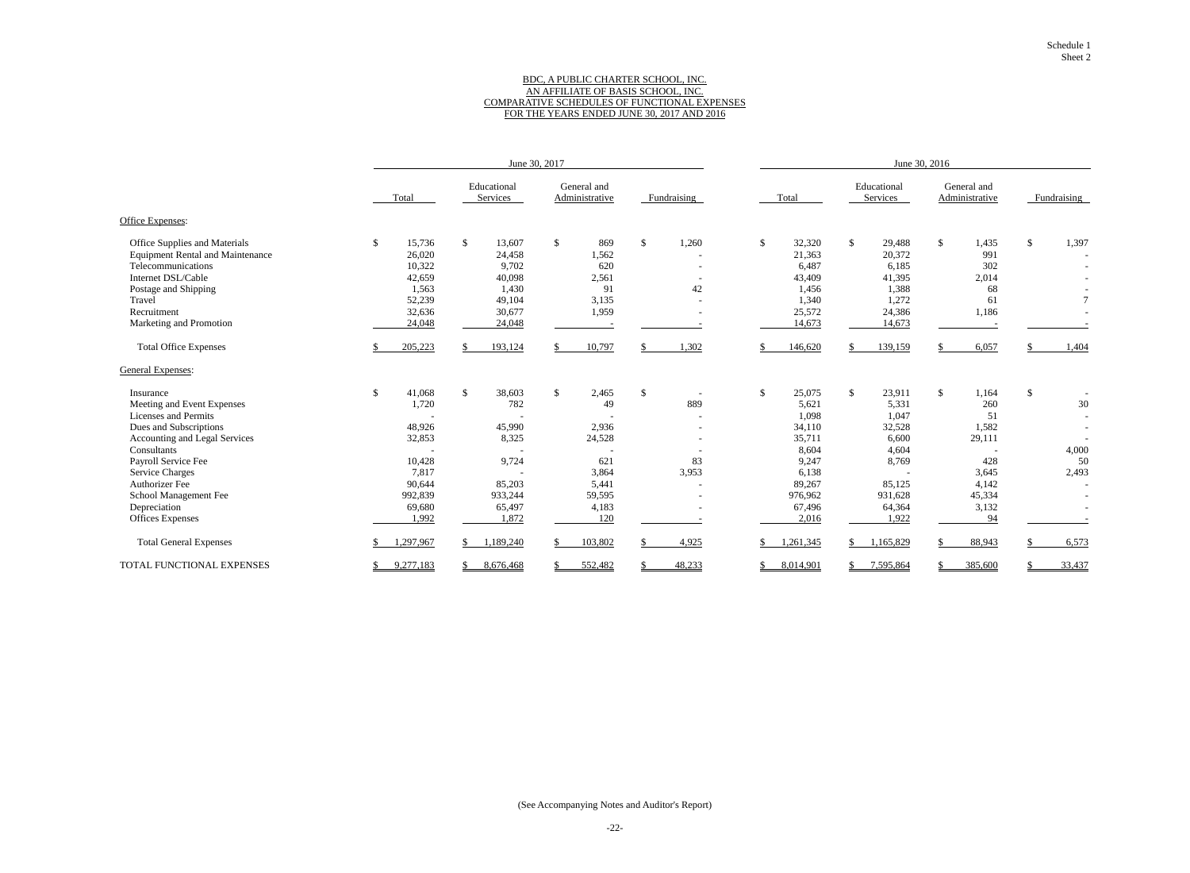#### BDC, A PUBLIC CHARTER SCHOOL, INC. AN AFFILIATE OF BASIS SCHOOL, INC. COMPARATIVE SCHEDULES OF FUNCTIONAL EXPENSES FOR THE YEARS ENDED JUNE 30, 2017 AND 2016

|                                         |               | June 30, 2017            |                               |                                |              | June 30, 2016           |                               |                 |  |
|-----------------------------------------|---------------|--------------------------|-------------------------------|--------------------------------|--------------|-------------------------|-------------------------------|-----------------|--|
|                                         | Total         | Educational<br>Services  | General and<br>Administrative | Fundraising                    | Total        | Educational<br>Services | General and<br>Administrative | Fundraising     |  |
| Office Expenses:                        |               |                          |                               |                                |              |                         |                               |                 |  |
| Office Supplies and Materials           | 15,736<br>\$  | $\mathbb{S}$<br>13,607   | \$<br>869                     | $\mathcal{S}$<br>1,260         | \$<br>32,320 | $\mathbb{S}$<br>29,488  | $\mathbb{S}$<br>1,435         | \$<br>1,397     |  |
| <b>Equipment Rental and Maintenance</b> | 26,020        | 24,458                   | 1,562                         |                                | 21,363       | 20,372                  | 991                           |                 |  |
| Telecommunications                      | 10,322        | 9,702                    | 620                           |                                | 6,487        | 6,185                   | 302                           |                 |  |
| Internet DSL/Cable                      | 42,659        | 40,098                   | 2,561                         |                                | 43,409       | 41,395                  | 2,014                         |                 |  |
| Postage and Shipping                    | 1,563         | 1,430                    | 91                            | 42                             | 1,456        | 1,388                   | 68                            |                 |  |
| Travel                                  | 52,239        | 49,104                   | 3,135                         |                                | 1,340        | 1,272                   | 61                            | $7\phantom{.0}$ |  |
| Recruitment                             | 32,636        | 30,677                   | 1,959                         |                                | 25,572       | 24,386                  | 1,186                         |                 |  |
| Marketing and Promotion                 | 24,048        | 24,048                   |                               |                                | 14,673       | 14,673                  |                               |                 |  |
| <b>Total Office Expenses</b>            | 205,223       | 193,124<br><sup>\$</sup> | 10,797                        | 1,302<br>\$.                   | 146,620      | 139,159<br>\$.          | 6,057                         | 1,404           |  |
| General Expenses:                       |               |                          |                               |                                |              |                         |                               |                 |  |
| Insurance                               | 41,068<br>\$. | $\mathcal{S}$<br>38,603  | $\mathbb{S}$<br>2,465         | \$<br>$\overline{\phantom{a}}$ | \$<br>25,075 | \$<br>23,911            | $\mathbb{S}$<br>1,164         | \$              |  |
| Meeting and Event Expenses              | 1,720         | 782                      | 49                            | 889                            | 5,621        | 5,331                   | 260                           | 30              |  |
| Licenses and Permits                    |               |                          |                               |                                | 1,098        | 1,047                   | 51                            |                 |  |
| Dues and Subscriptions                  | 48,926        | 45,990                   | 2,936                         |                                | 34,110       | 32,528                  | 1,582                         |                 |  |
| Accounting and Legal Services           | 32,853        | 8,325                    | 24,528                        |                                | 35,711       | 6,600                   | 29,111                        |                 |  |
| Consultants                             |               |                          |                               |                                | 8,604        | 4,604                   |                               | 4,000           |  |
| Payroll Service Fee                     | 10,428        | 9,724                    | 621                           | 83                             | 9,247        | 8,769                   | 428                           | 50              |  |
| <b>Service Charges</b>                  | 7,817         |                          | 3,864                         | 3,953                          | 6,138        |                         | 3,645                         | 2,493           |  |
| <b>Authorizer Fee</b>                   | 90,644        | 85,203                   | 5,441                         |                                | 89,267       | 85,125                  | 4,142                         |                 |  |
| School Management Fee                   | 992,839       | 933,244                  | 59,595                        |                                | 976,962      | 931,628                 | 45,334                        |                 |  |
| Depreciation                            | 69,680        | 65,497                   | 4,183                         |                                | 67,496       | 64,364                  | 3,132                         |                 |  |
| <b>Offices Expenses</b>                 | 1,992         | 1,872                    | 120                           |                                | 2,016        | 1,922                   | 94                            |                 |  |
| <b>Total General Expenses</b>           | 1,297,967     | 1,189,240                | 103,802                       | 4,925                          | ,261,345     | 1,165,829<br>\$         | 88,943                        | 6,573           |  |
| TOTAL FUNCTIONAL EXPENSES               | 9,277,183     | 8,676,468                | 552,482                       | 48,233                         | 8,014,901    | 7,595,864               | 385,600                       | 33,437          |  |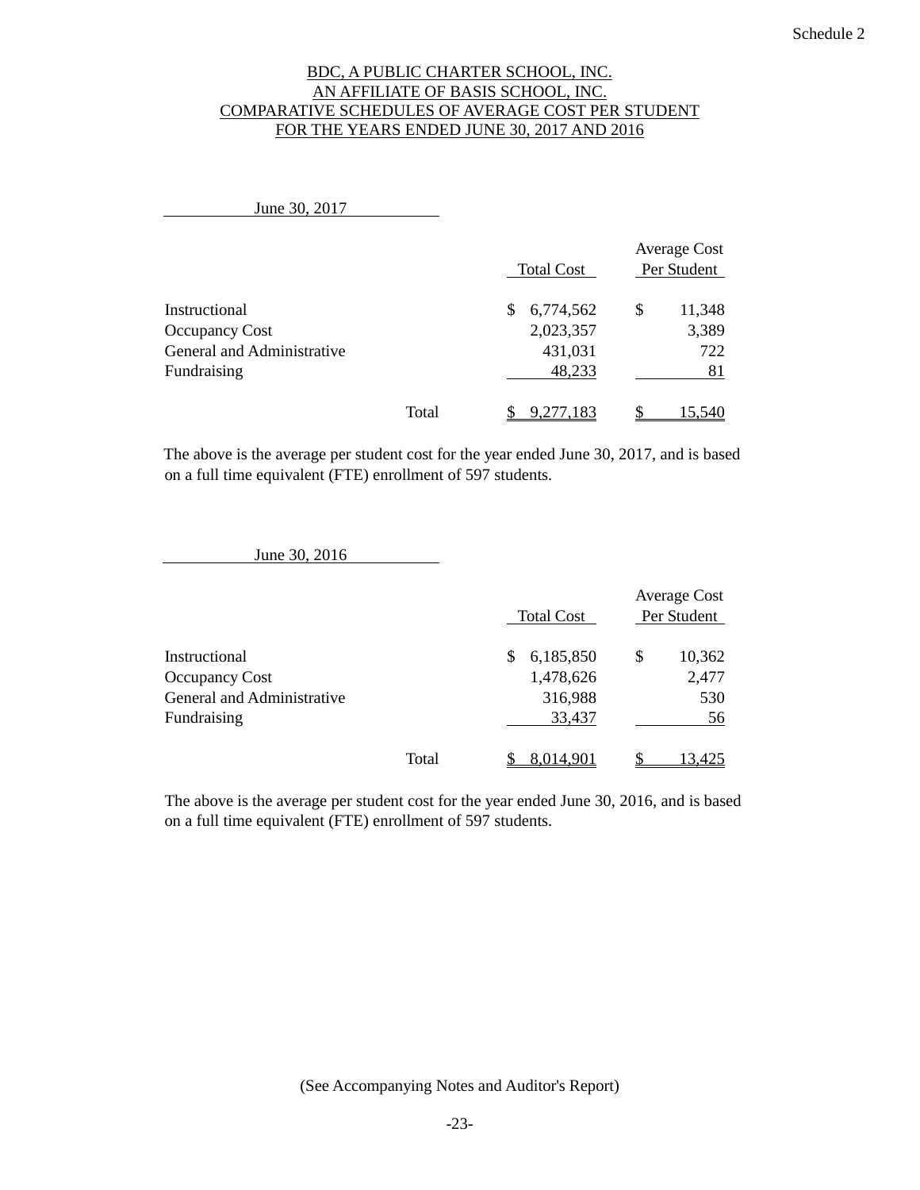#### BDC, A PUBLIC CHARTER SCHOOL, INC. AN AFFILIATE OF BASIS SCHOOL, INC. COMPARATIVE SCHEDULES OF AVERAGE COST PER STUDENT FOR THE YEARS ENDED JUNE 30, 2017 AND 2016

| June 30, 2017                                                                       |       |                                                    |                                    |
|-------------------------------------------------------------------------------------|-------|----------------------------------------------------|------------------------------------|
|                                                                                     |       | <b>Total Cost</b>                                  | <b>Average Cost</b><br>Per Student |
| Instructional<br><b>Occupancy Cost</b><br>General and Administrative<br>Fundraising |       | 6,774,562<br>\$.<br>2,023,357<br>431,031<br>48,233 | 11,348<br>\$<br>3,389<br>722<br>81 |
|                                                                                     | Total | 9,277,183                                          | 15.540                             |

The above is the average per student cost for the year ended June 30, 2017, and is based on a full time equivalent (FTE) enrollment of 597 students.

June 30, 2016

|                            |       | <b>Total Cost</b> | <b>Average Cost</b><br>Per Student |        |
|----------------------------|-------|-------------------|------------------------------------|--------|
| Instructional              |       | 6,185,850<br>S    | S                                  | 10,362 |
| <b>Occupancy Cost</b>      |       | 1,478,626         |                                    | 2,477  |
| General and Administrative |       | 316,988           |                                    | 530    |
| Fundraising                |       | 33,437            |                                    | 56     |
|                            | Total | 8.014.901         |                                    | 13.425 |

The above is the average per student cost for the year ended June 30, 2016, and is based on a full time equivalent (FTE) enrollment of 597 students.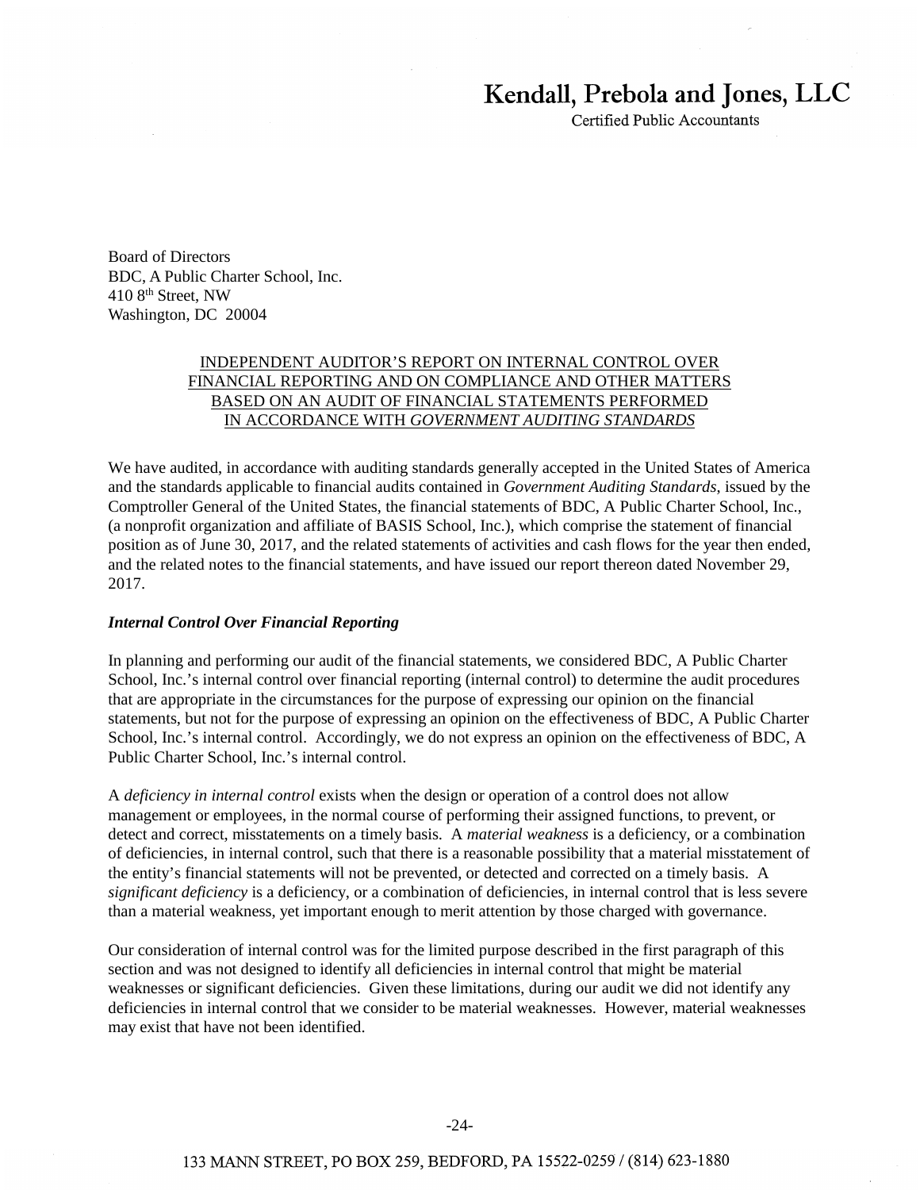# Kendall, Prebola and Jones, LLC

Certified Public Accountants

Board of Directors BDC, A Public Charter School, Inc. 410 8th Street, NW Washington, DC 20004

## INDEPENDENT AUDITOR'S REPORT ON INTERNAL CONTROL OVER FINANCIAL REPORTING AND ON COMPLIANCE AND OTHER MATTERS BASED ON AN AUDIT OF FINANCIAL STATEMENTS PERFORMED IN ACCORDANCE WITH *GOVERNMENT AUDITING STANDARDS*

We have audited, in accordance with auditing standards generally accepted in the United States of America and the standards applicable to financial audits contained in *Government Auditing Standards*, issued by the Comptroller General of the United States, the financial statements of BDC, A Public Charter School, Inc., (a nonprofit organization and affiliate of BASIS School, Inc.), which comprise the statement of financial position as of June 30, 2017, and the related statements of activities and cash flows for the year then ended, and the related notes to the financial statements, and have issued our report thereon dated November 29, 2017.

#### *Internal Control Over Financial Reporting*

In planning and performing our audit of the financial statements, we considered BDC, A Public Charter School, Inc.'s internal control over financial reporting (internal control) to determine the audit procedures that are appropriate in the circumstances for the purpose of expressing our opinion on the financial statements, but not for the purpose of expressing an opinion on the effectiveness of BDC, A Public Charter School, Inc.'s internal control. Accordingly, we do not express an opinion on the effectiveness of BDC, A Public Charter School, Inc.'s internal control.

A *deficiency in internal control* exists when the design or operation of a control does not allow management or employees, in the normal course of performing their assigned functions, to prevent, or detect and correct, misstatements on a timely basis. A *material weakness* is a deficiency, or a combination of deficiencies, in internal control, such that there is a reasonable possibility that a material misstatement of the entity's financial statements will not be prevented, or detected and corrected on a timely basis. A *significant deficiency* is a deficiency, or a combination of deficiencies, in internal control that is less severe than a material weakness, yet important enough to merit attention by those charged with governance.

Our consideration of internal control was for the limited purpose described in the first paragraph of this section and was not designed to identify all deficiencies in internal control that might be material weaknesses or significant deficiencies. Given these limitations, during our audit we did not identify any deficiencies in internal control that we consider to be material weaknesses. However, material weaknesses may exist that have not been identified.

#### 133 MANN STREET, PO BOX 259, BEDFORD, PA 15522-0259 / (814) 623-1880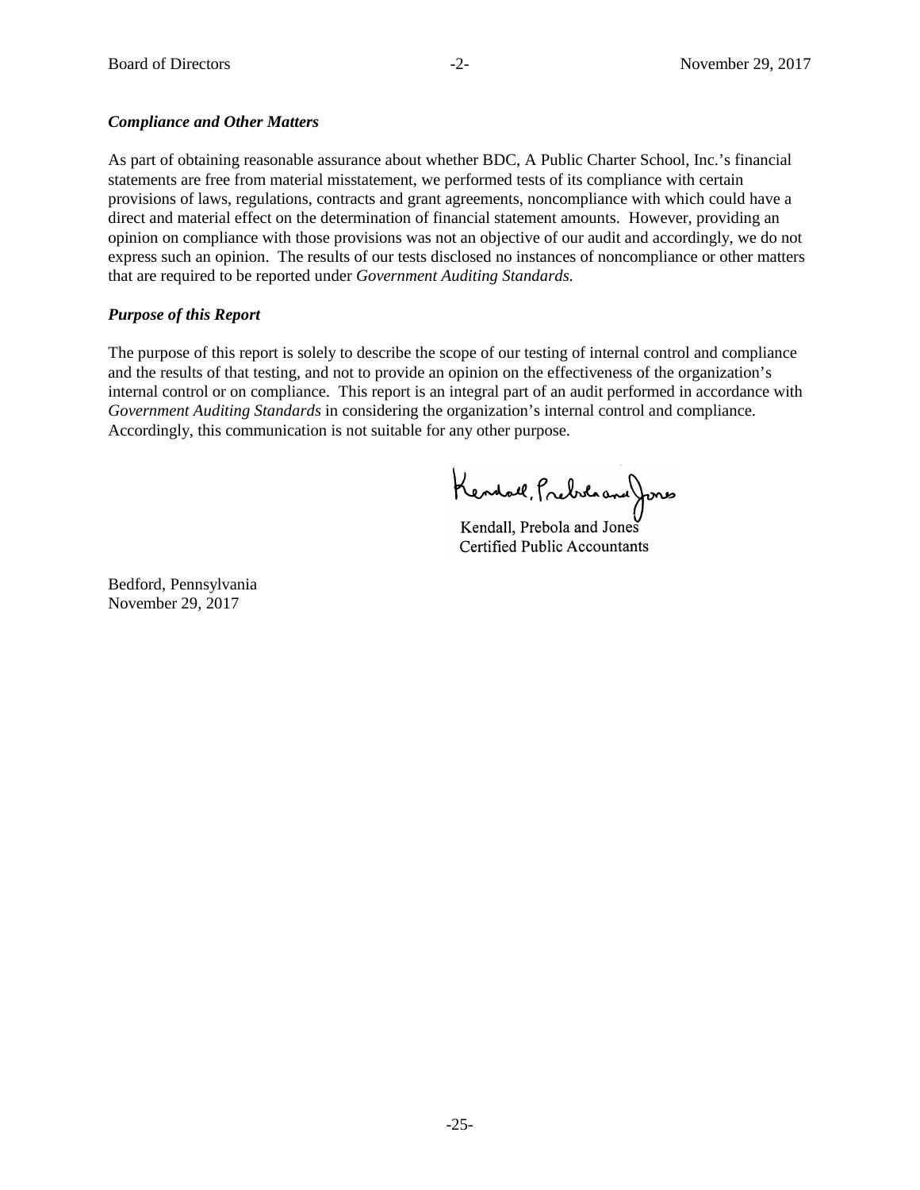# *Compliance and Other Matters* **including and reconciling such information directly to the unit of underlying and other Matters**

As part of obtaining reasonable assurance about whether BDC, A Public Charter School, Inc.'s financial statements are free from material misstatement, we performed tests of its compliance with certain provisions of laws, regulations, contracts and grant agreements, noncompliance with which could have a direct and material effect on the determination of financial statement amounts. However, providing an opinion on compliance with those provisions was not an objective of our audit and accordingly, we do not express such an opinion. The results of our tests disclosed no instances of noncompliance or other matters that are required to be reported under *Government Auditing Standards*.

# *Purpose of this Report*  $\blacksquare$

The purpose of this report is solely to describe the scope of our testing of internal control and compliance and the results of that testing, and not to provide an opinion on the effectiveness of the organization's internal control or on compliance. This report is an integral part of an audit performed in accordance with Government Auditing Standards in considering the organization's internal control and compliance. Accordingly, this communication is not suitable for any other purpose.

Kendall, Prebila and Jones

Kendall, Prebola and Jones Kendall, Prebola and Jones Certified Public Accountants Certified Public Accountants

Bedford, Pennsylvania Bedford, Pennsylvania November 29, 2017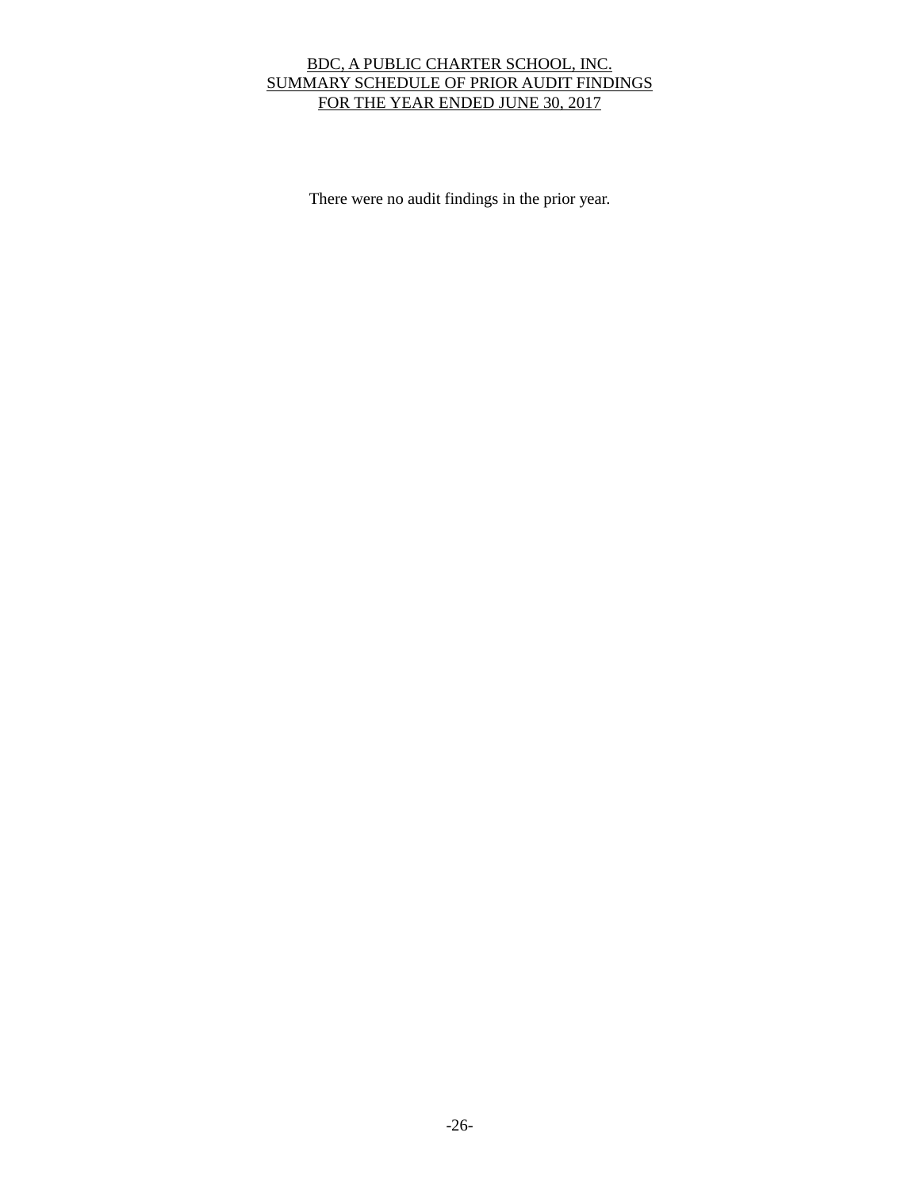# BDC, A PUBLIC CHARTER SCHOOL, INC. SUMMARY SCHEDULE OF PRIOR AUDIT FINDINGS FOR THE YEAR ENDED JUNE 30, 2017

There were no audit findings in the prior year.